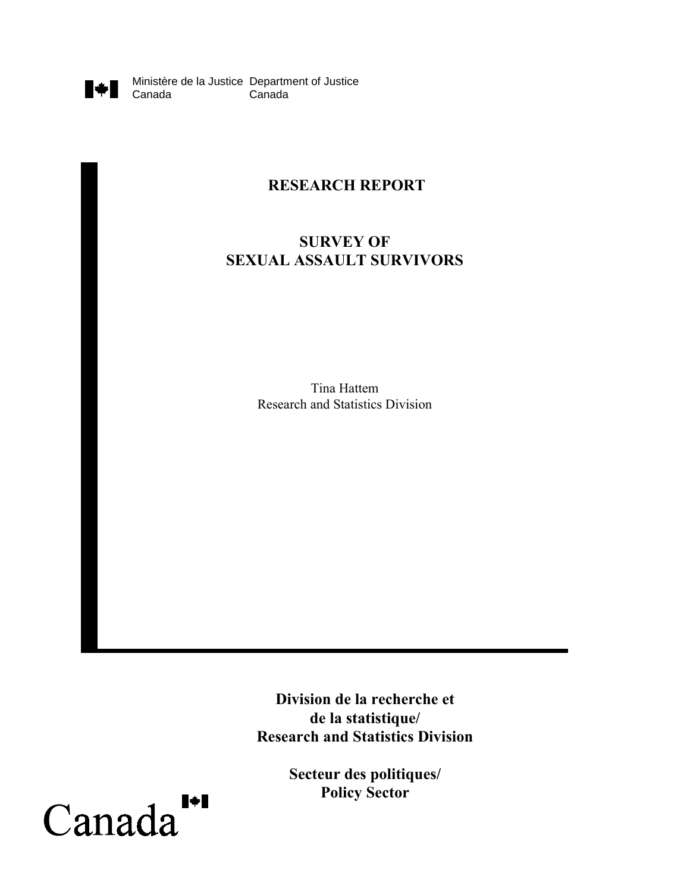

Ministère de la Justice Department of Justice Canada

## **RESEARCH REPORT**

## **SURVEY OF SEXUAL ASSAULT SURVIVORS**

Tina Hattem Research and Statistics Division

**Division de la recherche et de la statistique/ Research and Statistics Division**

> **Secteur des politiques/ Policy Sector**

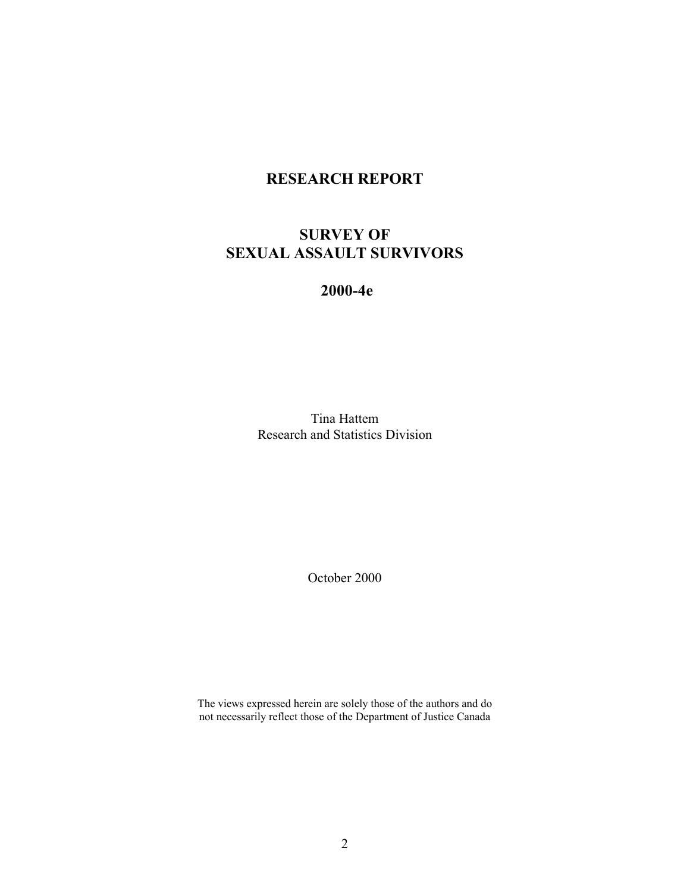## **RESEARCH REPORT**

## **SURVEY OF SEXUAL ASSAULT SURVIVORS**

### **2000-4e**

Tina Hattem Research and Statistics Division

October 2000

The views expressed herein are solely those of the authors and do not necessarily reflect those of the Department of Justice Canada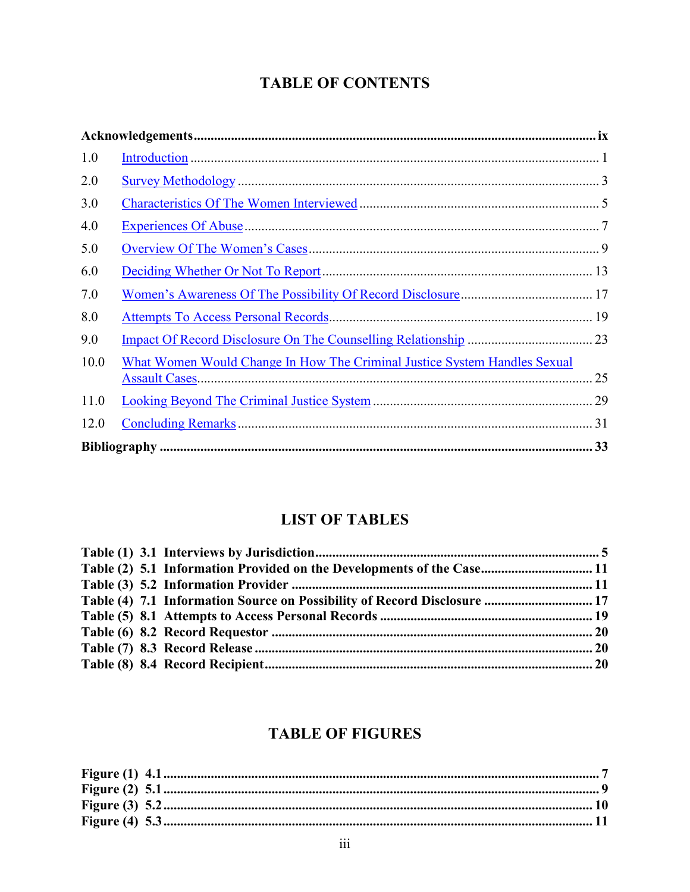# **TABLE OF CONTENTS**

| 1.0  |                                                                           |    |
|------|---------------------------------------------------------------------------|----|
| 2.0  |                                                                           |    |
| 3.0  |                                                                           |    |
| 4.0  |                                                                           |    |
| 5.0  |                                                                           |    |
| 6.0  |                                                                           |    |
| 7.0  |                                                                           |    |
| 8.0  |                                                                           |    |
| 9.0  |                                                                           |    |
| 10.0 | What Women Would Change In How The Criminal Justice System Handles Sexual |    |
| 11.0 |                                                                           |    |
| 12.0 |                                                                           | 31 |
|      |                                                                           |    |

# **LIST OF TABLES**

| Table (2) 5.1 Information Provided on the Developments of the Case 11    |  |
|--------------------------------------------------------------------------|--|
|                                                                          |  |
| Table (4) 7.1 Information Source on Possibility of Record Disclosure  17 |  |
|                                                                          |  |
|                                                                          |  |
|                                                                          |  |
|                                                                          |  |
|                                                                          |  |

# **TABLE OF FIGURES**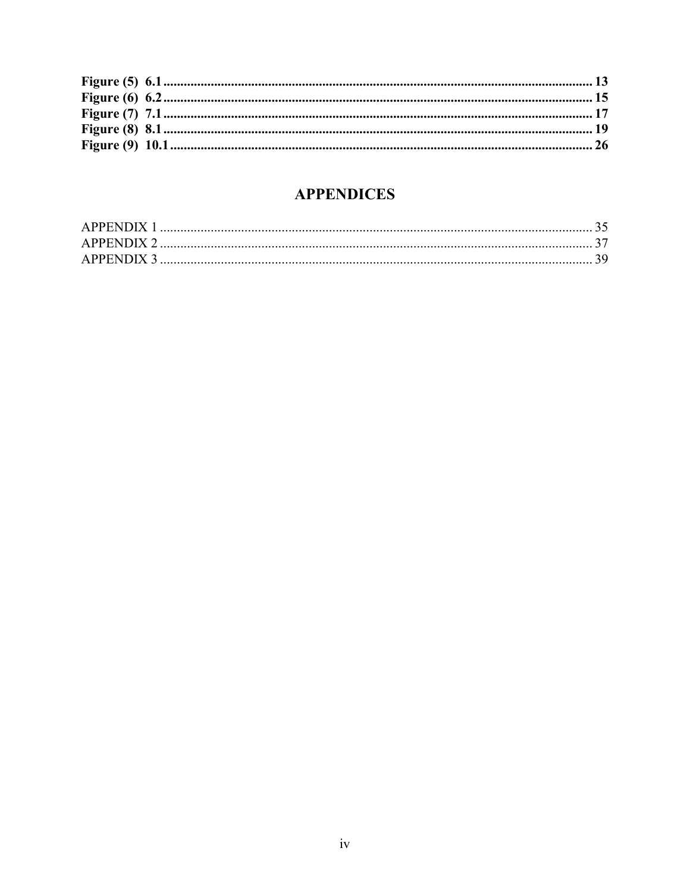# **APPENDICES**

| APPENDIX |  |
|----------|--|
|          |  |
|          |  |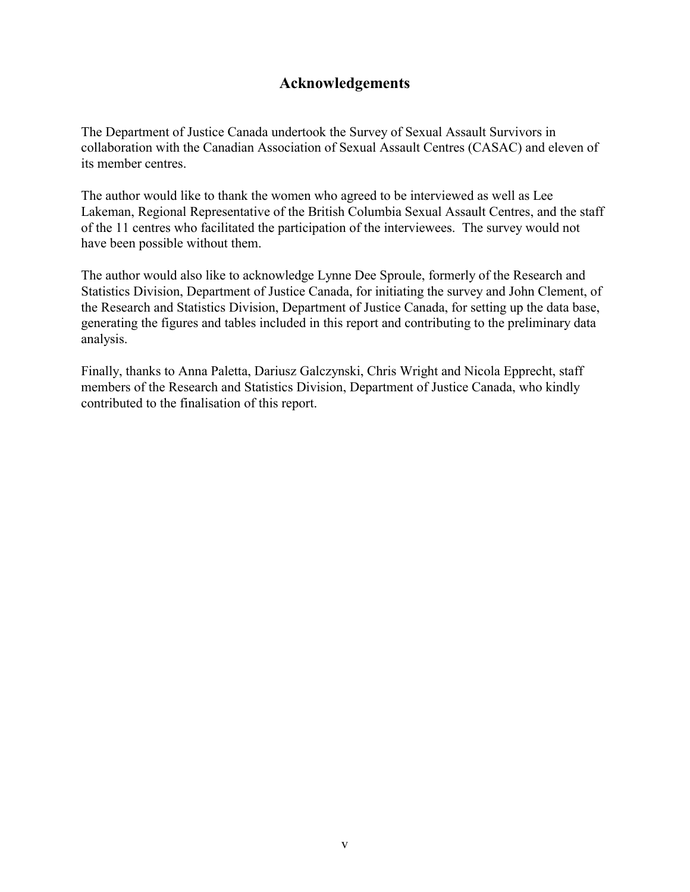## **Acknowledgements**

The Department of Justice Canada undertook the Survey of Sexual Assault Survivors in collaboration with the Canadian Association of Sexual Assault Centres (CASAC) and eleven of its member centres.

The author would like to thank the women who agreed to be interviewed as well as Lee Lakeman, Regional Representative of the British Columbia Sexual Assault Centres, and the staff of the 11 centres who facilitated the participation of the interviewees. The survey would not have been possible without them.

The author would also like to acknowledge Lynne Dee Sproule, formerly of the Research and Statistics Division, Department of Justice Canada, for initiating the survey and John Clement, of the Research and Statistics Division, Department of Justice Canada, for setting up the data base, generating the figures and tables included in this report and contributing to the preliminary data analysis.

Finally, thanks to Anna Paletta, Dariusz Galczynski, Chris Wright and Nicola Epprecht, staff members of the Research and Statistics Division, Department of Justice Canada, who kindly contributed to the finalisation of this report.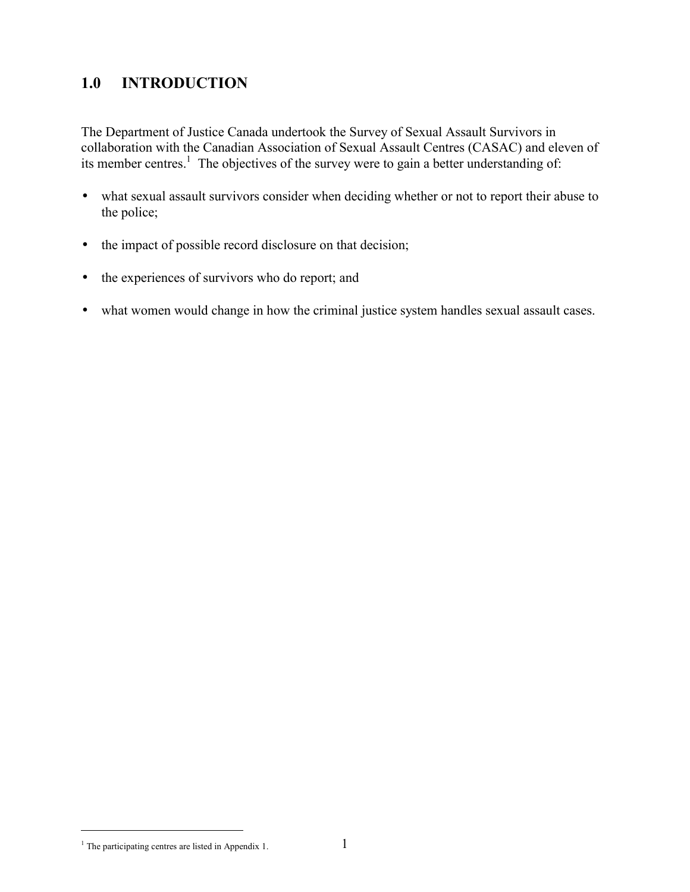# <span id="page-5-0"></span>**1.0 INTRODUCTION**

The Department of Justice Canada undertook the Survey of Sexual Assault Survivors in collaboration with the Canadian Association of Sexual Assault Centres (CASAC) and eleven of its member centres.<sup>1</sup> The objectives of the survey were to gain a better understanding of:

- what sexual assault survivors consider when deciding whether or not to report their abuse to the police;
- the impact of possible record disclosure on that decision;
- the experiences of survivors who do report; and
- what women would change in how the criminal justice system handles sexual assault cases.

÷,

<sup>&</sup>lt;sup>1</sup> The participating centres are listed in Appendix 1.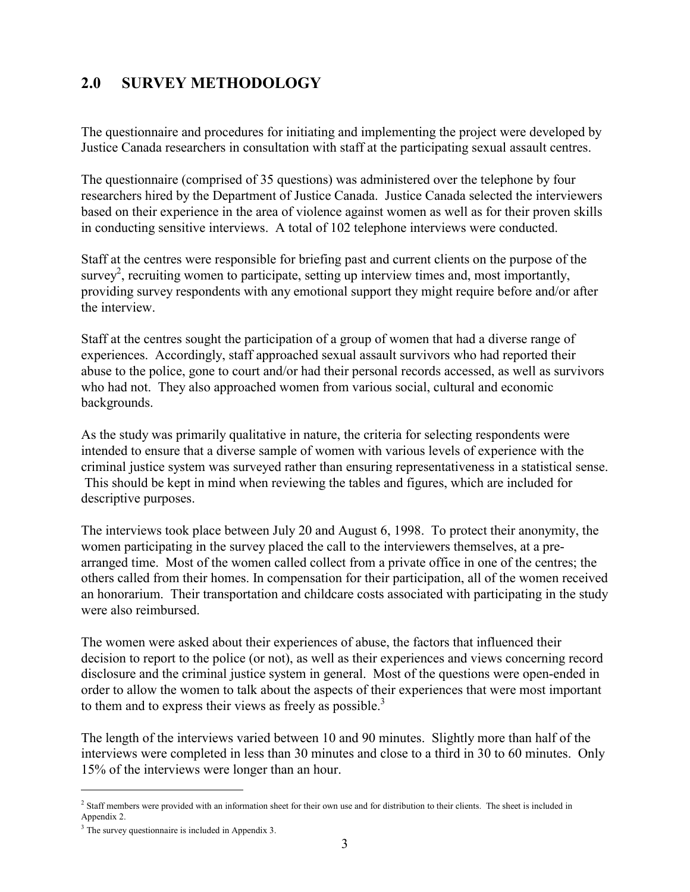# <span id="page-6-0"></span>**2.0 SURVEY METHODOLOGY**

The questionnaire and procedures for initiating and implementing the project were developed by Justice Canada researchers in consultation with staff at the participating sexual assault centres.

The questionnaire (comprised of 35 questions) was administered over the telephone by four researchers hired by the Department of Justice Canada. Justice Canada selected the interviewers based on their experience in the area of violence against women as well as for their proven skills in conducting sensitive interviews. A total of 102 telephone interviews were conducted.

Staff at the centres were responsible for briefing past and current clients on the purpose of the survey<sup>2</sup>, recruiting women to participate, setting up interview times and, most importantly, providing survey respondents with any emotional support they might require before and/or after the interview.

Staff at the centres sought the participation of a group of women that had a diverse range of experiences. Accordingly, staff approached sexual assault survivors who had reported their abuse to the police, gone to court and/or had their personal records accessed, as well as survivors who had not. They also approached women from various social, cultural and economic backgrounds.

As the study was primarily qualitative in nature, the criteria for selecting respondents were intended to ensure that a diverse sample of women with various levels of experience with the criminal justice system was surveyed rather than ensuring representativeness in a statistical sense. This should be kept in mind when reviewing the tables and figures, which are included for descriptive purposes.

The interviews took place between July 20 and August 6, 1998. To protect their anonymity, the women participating in the survey placed the call to the interviewers themselves, at a prearranged time. Most of the women called collect from a private office in one of the centres; the others called from their homes. In compensation for their participation, all of the women received an honorarium. Their transportation and childcare costs associated with participating in the study were also reimbursed.

The women were asked about their experiences of abuse, the factors that influenced their decision to report to the police (or not), as well as their experiences and views concerning record disclosure and the criminal justice system in general. Most of the questions were open-ended in order to allow the women to talk about the aspects of their experiences that were most important to them and to express their views as freely as possible.<sup>3</sup>

The length of the interviews varied between 10 and 90 minutes. Slightly more than half of the interviews were completed in less than 30 minutes and close to a third in 30 to 60 minutes. Only 15% of the interviews were longer than an hour.

 $\overline{a}$ 

<sup>&</sup>lt;sup>2</sup> Staff members were provided with an information sheet for their own use and for distribution to their clients. The sheet is included in Appendix 2.

<sup>&</sup>lt;sup>3</sup> The survey questionnaire is included in Appendix 3.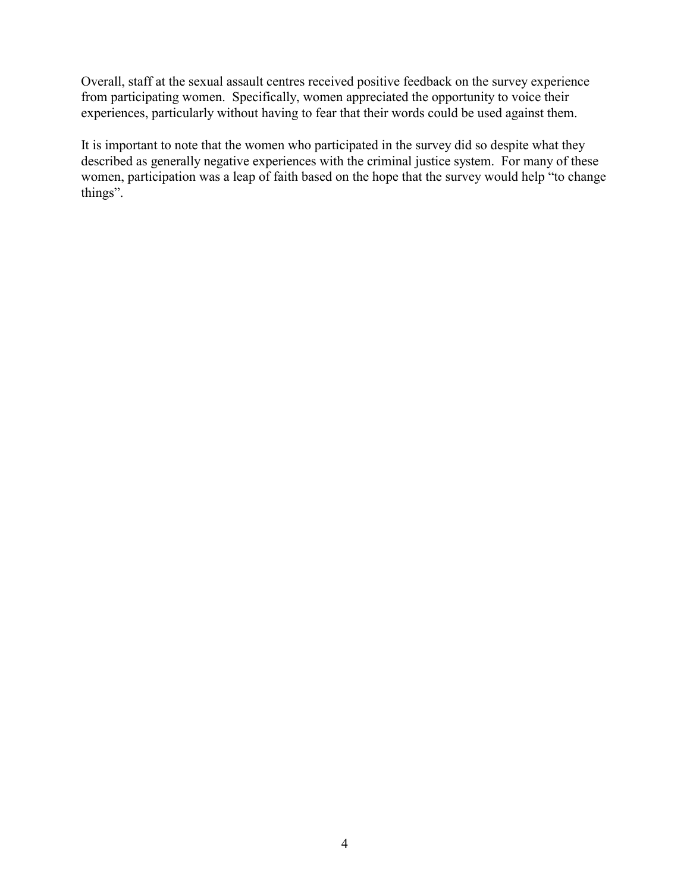Overall, staff at the sexual assault centres received positive feedback on the survey experience from participating women. Specifically, women appreciated the opportunity to voice their experiences, particularly without having to fear that their words could be used against them.

It is important to note that the women who participated in the survey did so despite what they described as generally negative experiences with the criminal justice system. For many of these women, participation was a leap of faith based on the hope that the survey would help "to change things".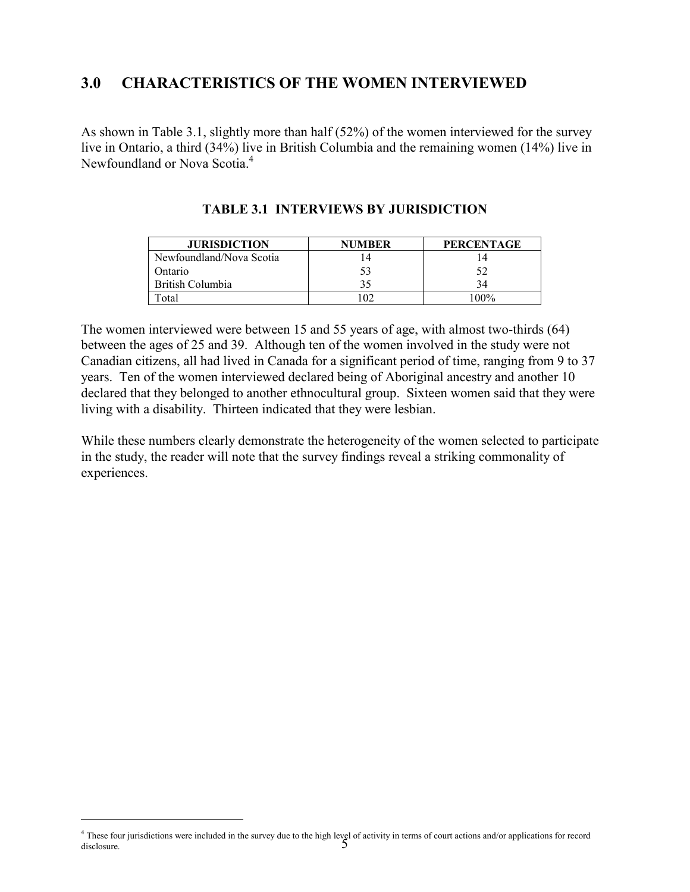## <span id="page-8-0"></span>**3.0 CHARACTERISTICS OF THE WOMEN INTERVIEWED**

As shown in Table 3.1, slightly more than half (52%) of the women interviewed for the survey live in Ontario, a third (34%) live in British Columbia and the remaining women (14%) live in Newfoundland or Nova Scotia.<sup>4</sup>

| <b>JURISDICTION</b>      | <b>NUMBER</b> | <b>PERCENTAGE</b> |
|--------------------------|---------------|-------------------|
| Newfoundland/Nova Scotia |               |                   |
| Ontario                  |               |                   |
| British Columbia         |               |                   |
| `otal                    |               | $100\%$           |

### **TABLE 3.1 INTERVIEWS BY JURISDICTION**

The women interviewed were between 15 and 55 years of age, with almost two-thirds (64) between the ages of 25 and 39. Although ten of the women involved in the study were not Canadian citizens, all had lived in Canada for a significant period of time, ranging from 9 to 37 years. Ten of the women interviewed declared being of Aboriginal ancestry and another 10 declared that they belonged to another ethnocultural group. Sixteen women said that they were living with a disability. Thirteen indicated that they were lesbian.

While these numbers clearly demonstrate the heterogeneity of the women selected to participate in the study, the reader will note that the survey findings reveal a striking commonality of experiences.

 $\overline{a}$ 

<sup>&</sup>lt;sup>4</sup> These four jurisdictions were included in the survey due to the high level of activity in terms of court actions and/or applications for record disclosure. disclosure.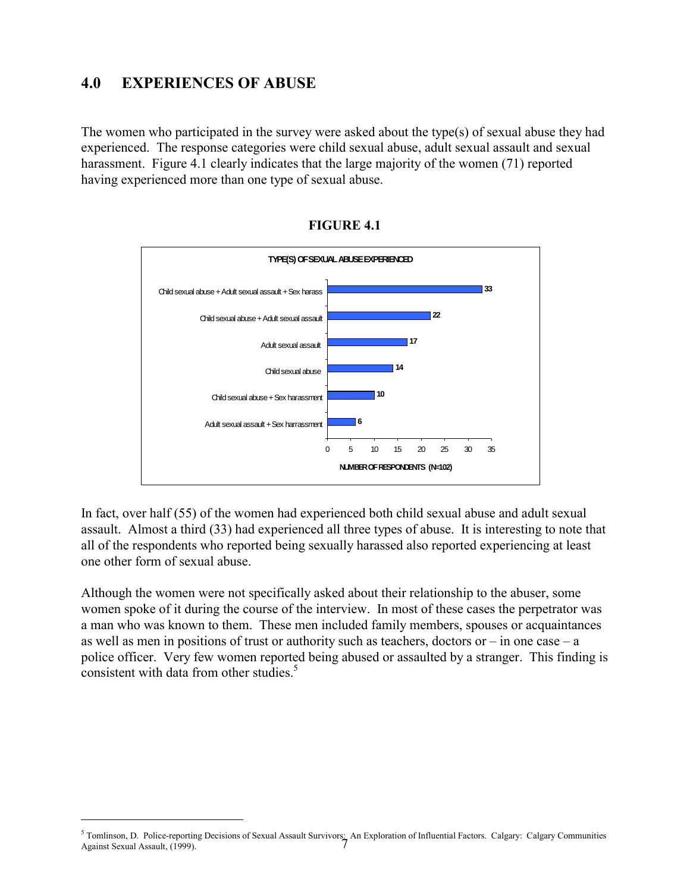## <span id="page-9-0"></span>**4.0 EXPERIENCES OF ABUSE**

 $\overline{a}$ 

The women who participated in the survey were asked about the type(s) of sexual abuse they had experienced. The response categories were child sexual abuse, adult sexual assault and sexual harassment. Figure 4.1 clearly indicates that the large majority of the women (71) reported having experienced more than one type of sexual abuse.



**FIGURE 4.1**

In fact, over half (55) of the women had experienced both child sexual abuse and adult sexual assault. Almost a third (33) had experienced all three types of abuse. It is interesting to note that all of the respondents who reported being sexually harassed also reported experiencing at least one other form of sexual abuse.

Although the women were not specifically asked about their relationship to the abuser, some women spoke of it during the course of the interview. In most of these cases the perpetrator was a man who was known to them. These men included family members, spouses or acquaintances as well as men in positions of trust or authority such as teachers, doctors or  $-$  in one case  $-$  a police officer. Very few women reported being abused or assaulted by a stranger. This finding is consistent with data from other studies. $5$ 

 $^5$  Tomlinson, D. Police-reporting Decisions of Sexual Assault Survivors: An Exploration of Influential Factors. Calgary: Calgary Communities Against Sexual Assault, (1999). Against Sexual Assault, (1999).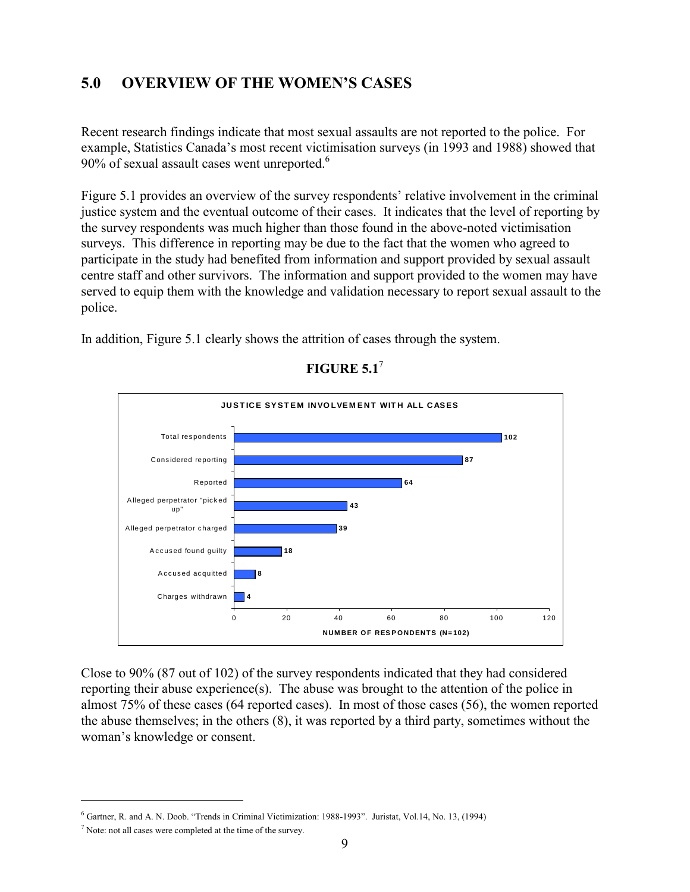## <span id="page-10-0"></span>**5.0 OVERVIEW OF THE WOMEN'S CASES**

Recent research findings indicate that most sexual assaults are not reported to the police. For example, Statistics Canada's most recent victimisation surveys (in 1993 and 1988) showed that 90% of sexual assault cases went unreported.<sup>6</sup>

Figure 5.1 provides an overview of the survey respondents' relative involvement in the criminal justice system and the eventual outcome of their cases. It indicates that the level of reporting by the survey respondents was much higher than those found in the above-noted victimisation surveys. This difference in reporting may be due to the fact that the women who agreed to participate in the study had benefited from information and support provided by sexual assault centre staff and other survivors. The information and support provided to the women may have served to equip them with the knowledge and validation necessary to report sexual assault to the police.

In addition, Figure 5.1 clearly shows the attrition of cases through the system.



**FIGURE 5.1**<sup>7</sup>

Close to 90% (87 out of 102) of the survey respondents indicated that they had considered reporting their abuse experience(s). The abuse was brought to the attention of the police in almost 75% of these cases (64 reported cases). In most of those cases (56), the women reported the abuse themselves; in the others (8), it was reported by a third party, sometimes without the woman's knowledge or consent.

 $\overline{\phantom{0}}$ 

<sup>6</sup> Gartner, R. and A. N. Doob. "Trends in Criminal Victimization: 1988-1993". Juristat, Vol.14, No. 13, (1994)

 $<sup>7</sup>$  Note: not all cases were completed at the time of the survey.</sup>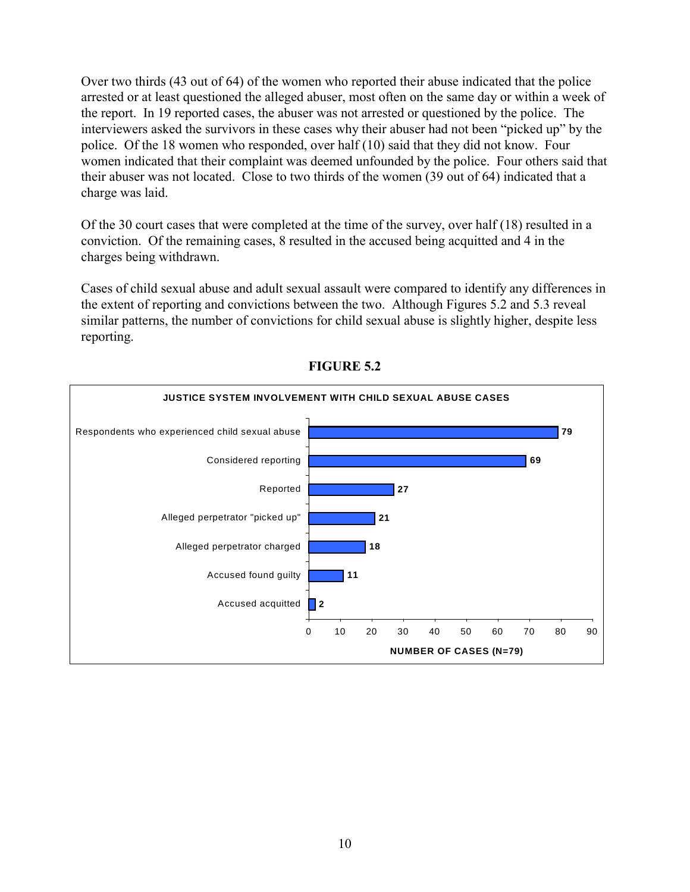<span id="page-11-0"></span>Over two thirds (43 out of 64) of the women who reported their abuse indicated that the police arrested or at least questioned the alleged abuser, most often on the same day or within a week of the report. In 19 reported cases, the abuser was not arrested or questioned by the police. The interviewers asked the survivors in these cases why their abuser had not been "picked up" by the police. Of the 18 women who responded, over half (10) said that they did not know. Four women indicated that their complaint was deemed unfounded by the police. Four others said that their abuser was not located. Close to two thirds of the women (39 out of 64) indicated that a charge was laid.

Of the 30 court cases that were completed at the time of the survey, over half (18) resulted in a conviction. Of the remaining cases, 8 resulted in the accused being acquitted and 4 in the charges being withdrawn.

Cases of child sexual abuse and adult sexual assault were compared to identify any differences in the extent of reporting and convictions between the two. Although Figures 5.2 and 5.3 reveal similar patterns, the number of convictions for child sexual abuse is slightly higher, despite less reporting.



**FIGURE 5.2**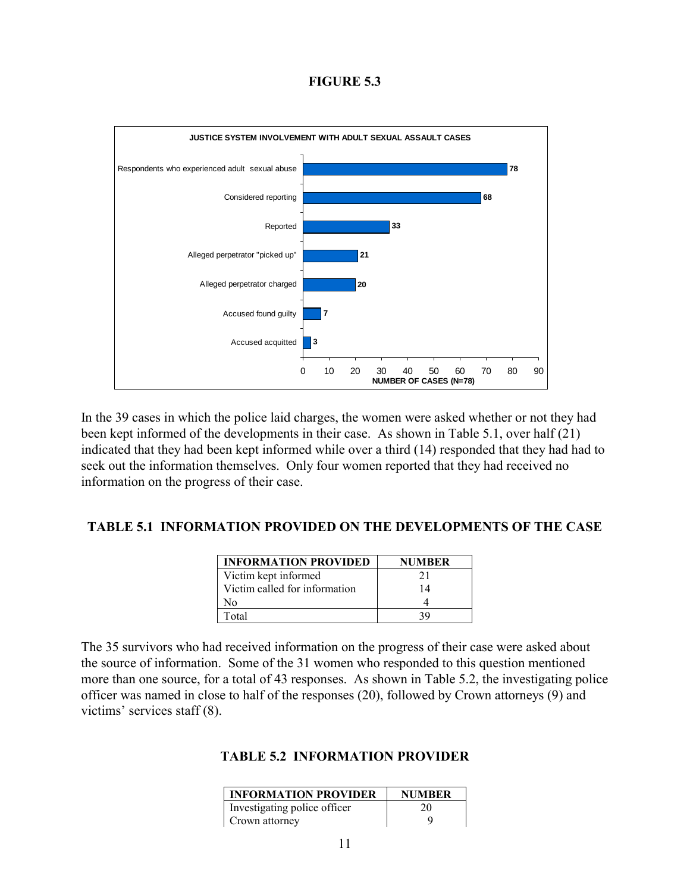#### **FIGURE 5.3**

<span id="page-12-0"></span>

In the 39 cases in which the police laid charges, the women were asked whether or not they had been kept informed of the developments in their case. As shown in Table 5.1, over half (21) indicated that they had been kept informed while over a third (14) responded that they had had to seek out the information themselves. Only four women reported that they had received no information on the progress of their case.

### **TABLE 5.1 INFORMATION PROVIDED ON THE DEVELOPMENTS OF THE CASE**

| <b>INFORMATION PROVIDED</b>   | <b>NUMBER</b> |
|-------------------------------|---------------|
| Victim kept informed          | 21            |
| Victim called for information | 14            |
| N٥                            |               |
| Total                         |               |

The 35 survivors who had received information on the progress of their case were asked about the source of information. Some of the 31 women who responded to this question mentioned more than one source, for a total of 43 responses. As shown in Table 5.2, the investigating police officer was named in close to half of the responses (20), followed by Crown attorneys (9) and victims' services staff (8).

### **TABLE 5.2 INFORMATION PROVIDER**

| <b>INFORMATION PROVIDER</b>  | <b>NUMBER</b> |
|------------------------------|---------------|
| Investigating police officer | 20            |
| Crown attorney               | u             |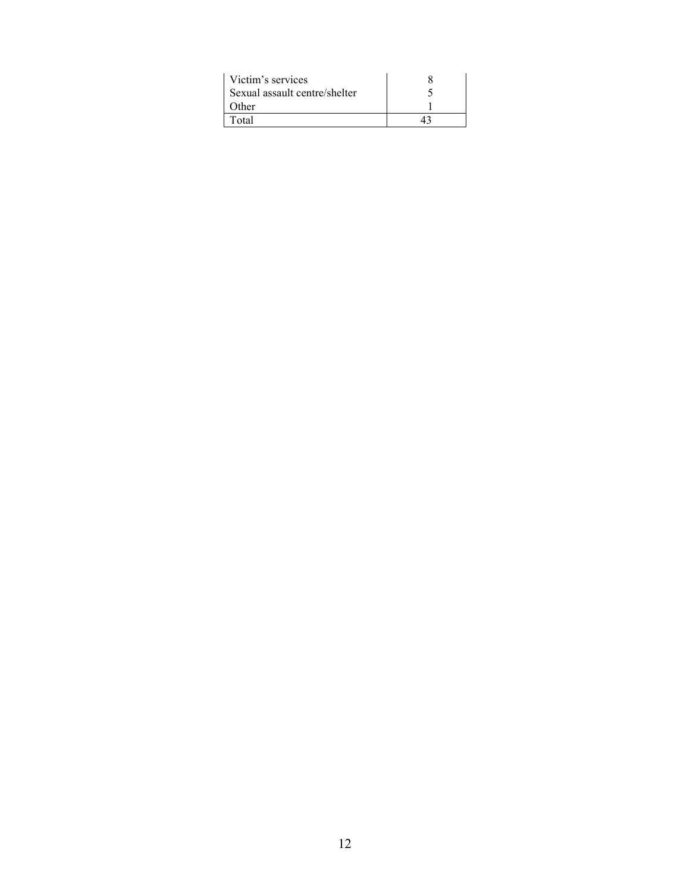| Victim's services             |  |
|-------------------------------|--|
| Sexual assault centre/shelter |  |
| Other                         |  |
| Total                         |  |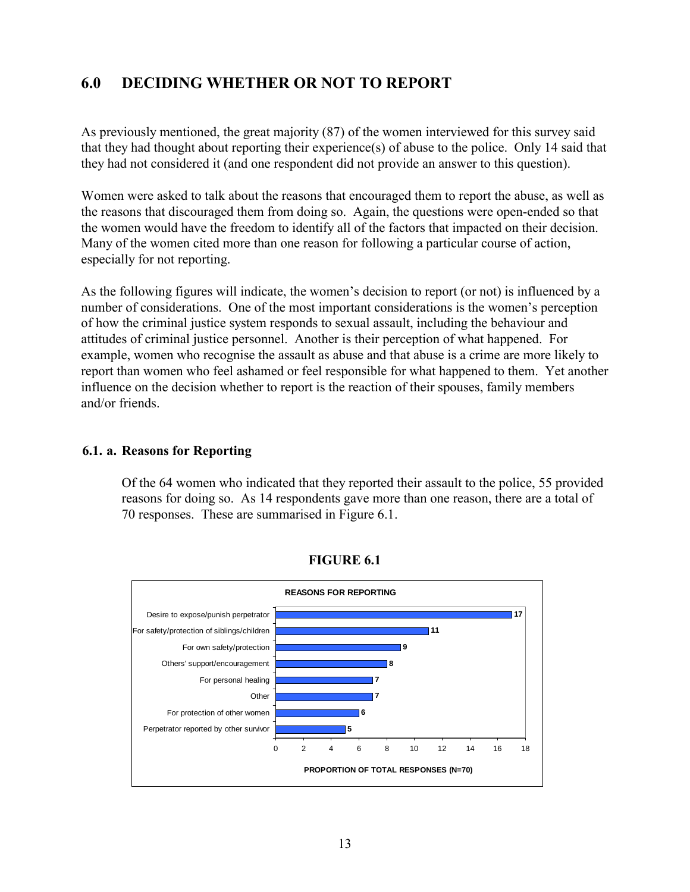## <span id="page-14-0"></span>**6.0 DECIDING WHETHER OR NOT TO REPORT**

As previously mentioned, the great majority (87) of the women interviewed for this survey said that they had thought about reporting their experience(s) of abuse to the police. Only 14 said that they had not considered it (and one respondent did not provide an answer to this question).

Women were asked to talk about the reasons that encouraged them to report the abuse, as well as the reasons that discouraged them from doing so. Again, the questions were open-ended so that the women would have the freedom to identify all of the factors that impacted on their decision. Many of the women cited more than one reason for following a particular course of action, especially for not reporting.

As the following figures will indicate, the women's decision to report (or not) is influenced by a number of considerations. One of the most important considerations is the women's perception of how the criminal justice system responds to sexual assault, including the behaviour and attitudes of criminal justice personnel. Another is their perception of what happened. For example, women who recognise the assault as abuse and that abuse is a crime are more likely to report than women who feel ashamed or feel responsible for what happened to them. Yet another influence on the decision whether to report is the reaction of their spouses, family members and/or friends.

### **6.1. a. Reasons for Reporting**

Of the 64 women who indicated that they reported their assault to the police, 55 provided reasons for doing so. As 14 respondents gave more than one reason, there are a total of 70 responses. These are summarised in Figure 6.1.



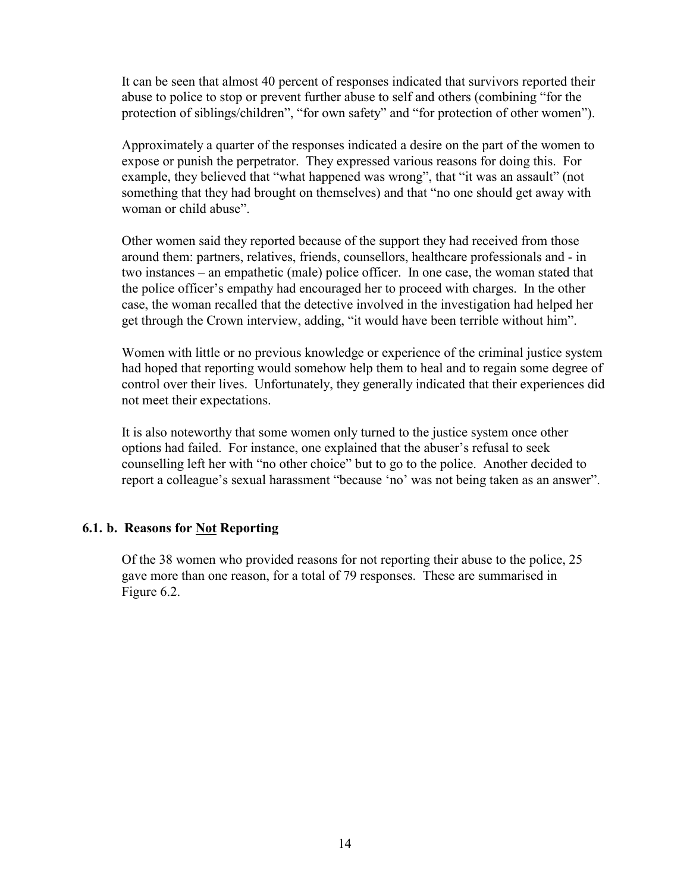It can be seen that almost 40 percent of responses indicated that survivors reported their abuse to police to stop or prevent further abuse to self and others (combining "for the protection of siblings/children", "for own safety" and "for protection of other women").

Approximately a quarter of the responses indicated a desire on the part of the women to expose or punish the perpetrator. They expressed various reasons for doing this. For example, they believed that "what happened was wrong", that "it was an assault" (not something that they had brought on themselves) and that "no one should get away with woman or child abuse".

Other women said they reported because of the support they had received from those around them: partners, relatives, friends, counsellors, healthcare professionals and - in two instances – an empathetic (male) police officer. In one case, the woman stated that the police officer's empathy had encouraged her to proceed with charges. In the other case, the woman recalled that the detective involved in the investigation had helped her get through the Crown interview, adding, "it would have been terrible without him".

Women with little or no previous knowledge or experience of the criminal justice system had hoped that reporting would somehow help them to heal and to regain some degree of control over their lives. Unfortunately, they generally indicated that their experiences did not meet their expectations.

It is also noteworthy that some women only turned to the justice system once other options had failed. For instance, one explained that the abuser's refusal to seek counselling left her with "no other choice" but to go to the police. Another decided to report a colleague's sexual harassment "because 'no' was not being taken as an answer".

### **6.1. b. Reasons for Not Reporting**

Of the 38 women who provided reasons for not reporting their abuse to the police, 25 gave more than one reason, for a total of 79 responses. These are summarised in Figure 6.2.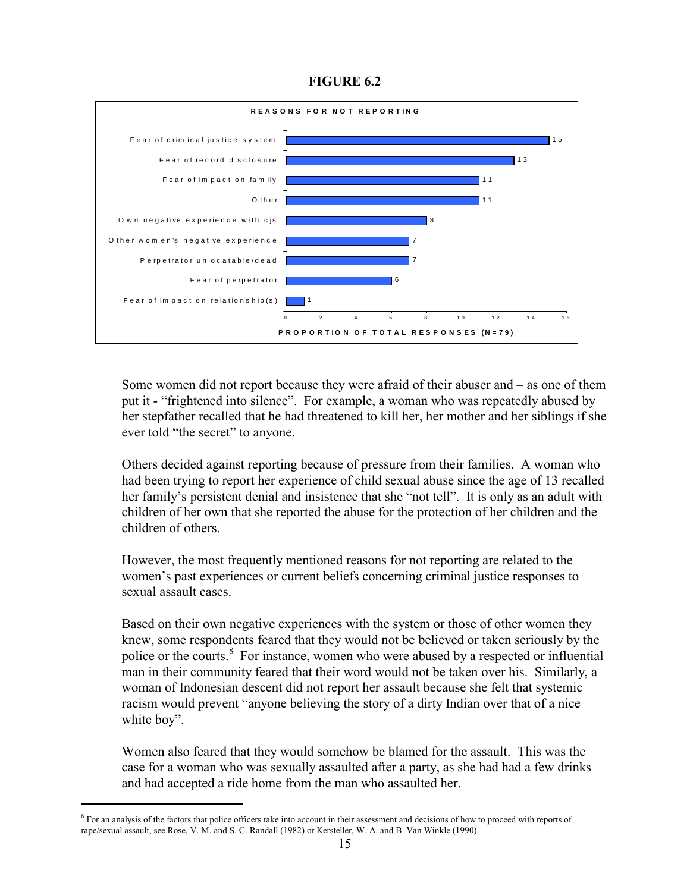### **FIGURE 6.2**

<span id="page-16-0"></span>

Some women did not report because they were afraid of their abuser and – as one of them put it - "frightened into silence". For example, a woman who was repeatedly abused by her stepfather recalled that he had threatened to kill her, her mother and her siblings if she ever told "the secret" to anyone.

Others decided against reporting because of pressure from their families. A woman who had been trying to report her experience of child sexual abuse since the age of 13 recalled her family's persistent denial and insistence that she "not tell". It is only as an adult with children of her own that she reported the abuse for the protection of her children and the children of others.

However, the most frequently mentioned reasons for not reporting are related to the women's past experiences or current beliefs concerning criminal justice responses to sexual assault cases.

Based on their own negative experiences with the system or those of other women they knew, some respondents feared that they would not be believed or taken seriously by the police or the courts.<sup>8</sup> For instance, women who were abused by a respected or influential man in their community feared that their word would not be taken over his. Similarly, a woman of Indonesian descent did not report her assault because she felt that systemic racism would prevent "anyone believing the story of a dirty Indian over that of a nice white boy".

Women also feared that they would somehow be blamed for the assault. This was the case for a woman who was sexually assaulted after a party, as she had had a few drinks and had accepted a ride home from the man who assaulted her.

 $\overline{\phantom{0}}$ 

<sup>&</sup>lt;sup>8</sup> For an analysis of the factors that police officers take into account in their assessment and decisions of how to proceed with reports of rape/sexual assault, see Rose, V. M. and S. C. Randall (1982) or Kersteller, W. A. and B. Van Winkle (1990).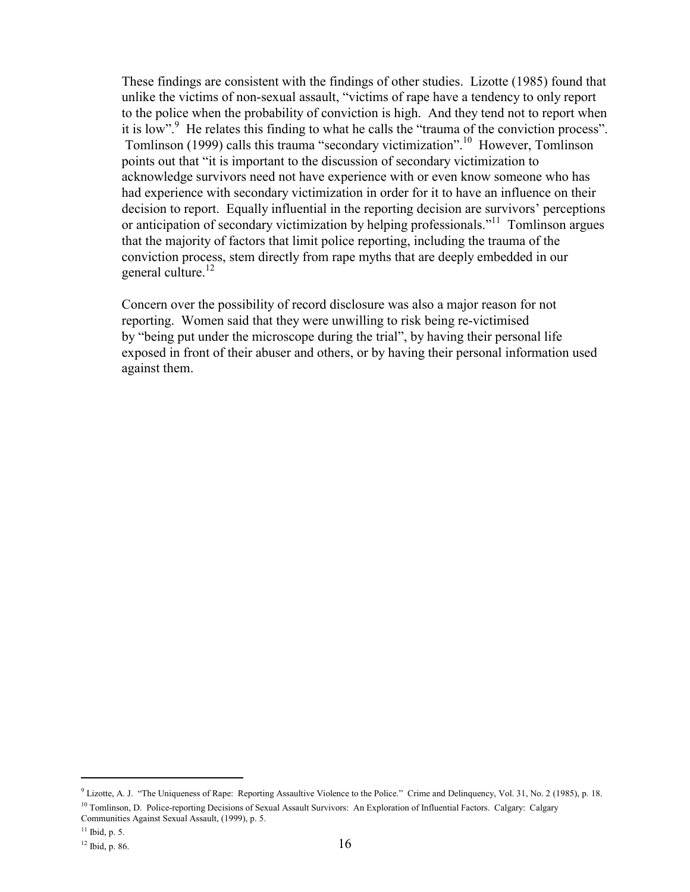These findings are consistent with the findings of other studies. Lizotte (1985) found that unlike the victims of non-sexual assault, "victims of rape have a tendency to only report to the police when the probability of conviction is high. And they tend not to report when it is low". He relates this finding to what he calls the "trauma of the conviction process". Tomlinson (1999) calls this trauma "secondary victimization".10 However, Tomlinson points out that "it is important to the discussion of secondary victimization to acknowledge survivors need not have experience with or even know someone who has had experience with secondary victimization in order for it to have an influence on their decision to report. Equally influential in the reporting decision are survivors' perceptions or anticipation of secondary victimization by helping professionals."<sup>11</sup> Tomlinson argues that the majority of factors that limit police reporting, including the trauma of the conviction process, stem directly from rape myths that are deeply embedded in our general culture.<sup>12</sup>

Concern over the possibility of record disclosure was also a major reason for not reporting. Women said that they were unwilling to risk being re-victimised by "being put under the microscope during the trial", by having their personal life exposed in front of their abuser and others, or by having their personal information used against them.

 $\overline{\phantom{0}}$ 

<sup>&</sup>lt;sup>9</sup> Lizotte, A. J. "The Uniqueness of Rape: Reporting Assaultive Violence to the Police." Crime and Delinquency, Vol. 31, No. 2 (1985), p. 18. <sup>10</sup> Tomlinson, D. Police-reporting Decisions of Sexual Assault Survivors: An Exploration of Influential Factors. Calgary: Calgary Communities Against Sexual Assault, (1999), p. 5.

 $11$  Ibid, p. 5.

<sup>12</sup> Ibid, p. 86.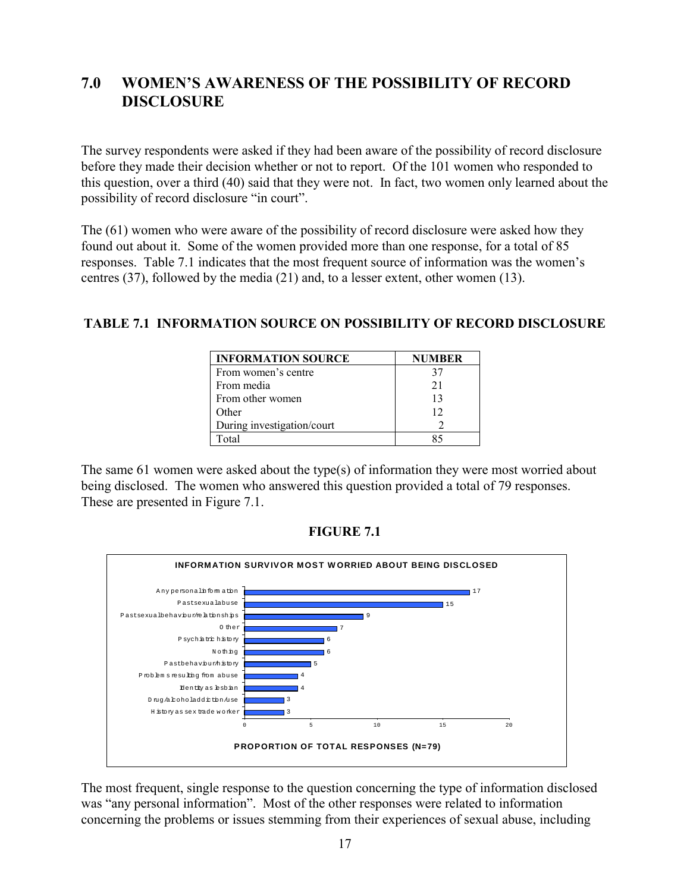## <span id="page-18-0"></span>**7.0 WOMEN'S AWARENESS OF THE POSSIBILITY OF RECORD DISCLOSURE**

The survey respondents were asked if they had been aware of the possibility of record disclosure before they made their decision whether or not to report. Of the 101 women who responded to this question, over a third (40) said that they were not. In fact, two women only learned about the possibility of record disclosure "in court".

The (61) women who were aware of the possibility of record disclosure were asked how they found out about it. Some of the women provided more than one response, for a total of 85 responses. Table 7.1 indicates that the most frequent source of information was the women's centres (37), followed by the media (21) and, to a lesser extent, other women (13).

### **TABLE 7.1 INFORMATION SOURCE ON POSSIBILITY OF RECORD DISCLOSURE**

| <b>INFORMATION SOURCE</b>  | <b>NUMBER</b> |
|----------------------------|---------------|
| From women's centre        | 37            |
| From media                 | 21            |
| From other women           | 13            |
| Other                      | 12            |
| During investigation/court |               |
| Fotal                      |               |

The same 61 women were asked about the type(s) of information they were most worried about being disclosed. The women who answered this question provided a total of 79 responses. These are presented in Figure 7.1.



**FIGURE 7.1**

The most frequent, single response to the question concerning the type of information disclosed was "any personal information". Most of the other responses were related to information concerning the problems or issues stemming from their experiences of sexual abuse, including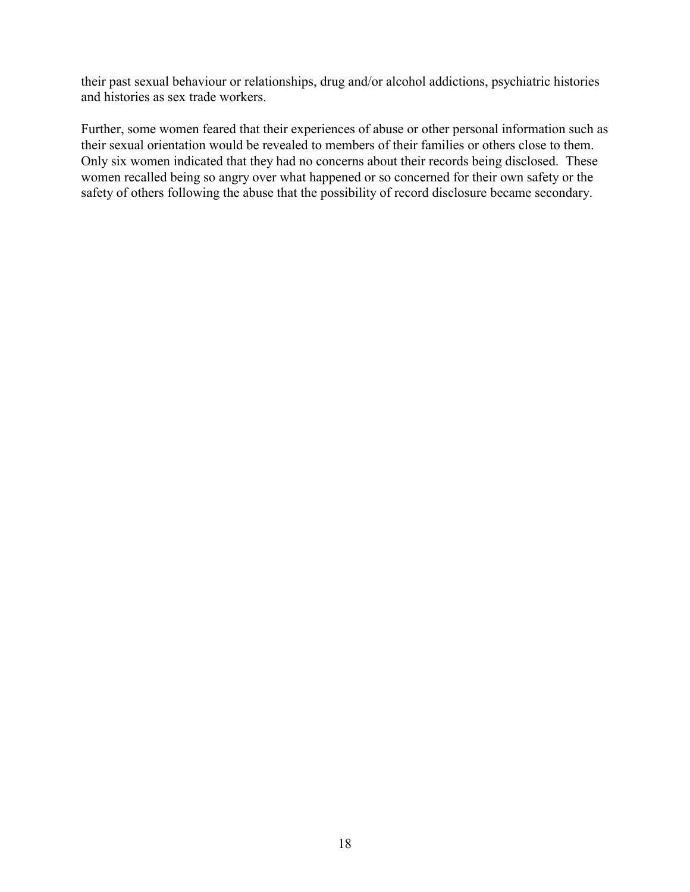their past sexual behaviour or relationships, drug and/or alcohol addictions, psychiatric histories and histories as sex trade workers.

Further, some women feared that their experiences of abuse or other personal information such as their sexual orientation would be revealed to members of their families or others close to them. Only six women indicated that they had no concerns about their records being disclosed. These women recalled being so angry over what happened or so concerned for their own safety or the safety of others following the abuse that the possibility of record disclosure became secondary.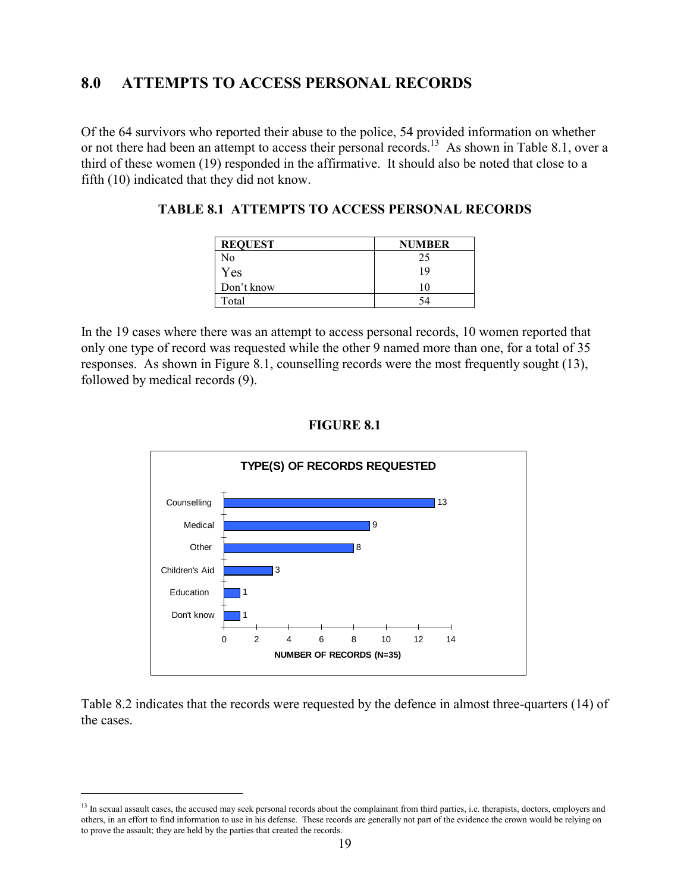## <span id="page-20-0"></span>**8.0 ATTEMPTS TO ACCESS PERSONAL RECORDS**

Of the 64 survivors who reported their abuse to the police, 54 provided information on whether or not there had been an attempt to access their personal records.<sup>13</sup> As shown in Table 8.1, over a third of these women (19) responded in the affirmative. It should also be noted that close to a fifth (10) indicated that they did not know.

| <b>REQUEST</b> | <b>NUMBER</b> |
|----------------|---------------|
| No             | 25            |
| Yes            | 19            |
| Don't know     | 10            |
| Total          | 54            |

In the 19 cases where there was an attempt to access personal records, 10 women reported that only one type of record was requested while the other 9 named more than one, for a total of 35 responses. As shown in Figure 8.1, counselling records were the most frequently sought (13), followed by medical records (9).



#### **FIGURE 8.1**

Table 8.2 indicates that the records were requested by the defence in almost three-quarters (14) of the cases.

 $\overline{a}$ 

<sup>&</sup>lt;sup>13</sup> In sexual assault cases, the accused may seek personal records about the complainant from third parties, i.e. therapists, doctors, employers and others, in an effort to find information to use in his defense. These records are generally not part of the evidence the crown would be relying on to prove the assault; they are held by the parties that created the records.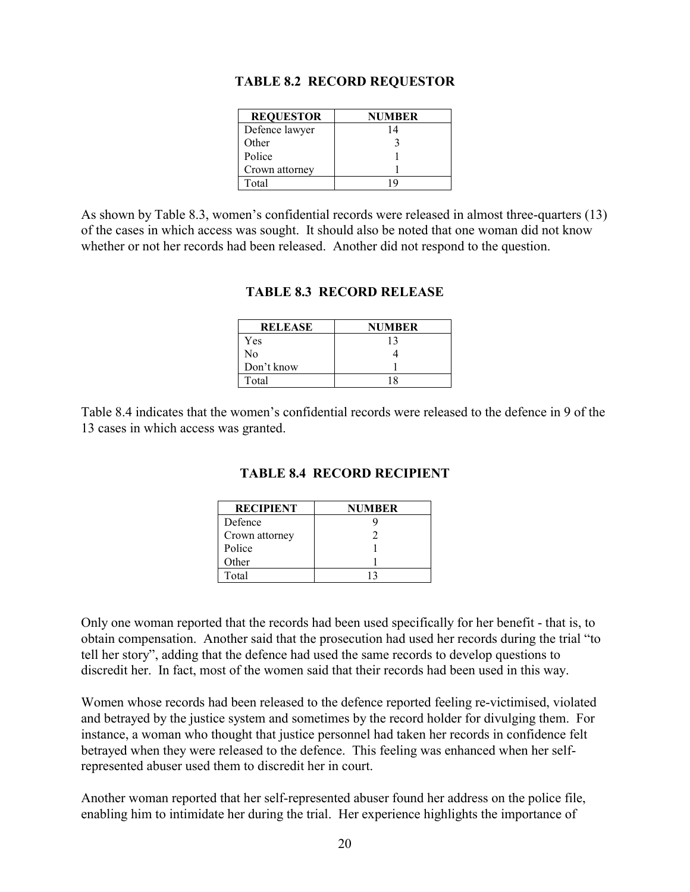|  |  | <b>TABLE 8.2 RECORD REQUESTOR</b> |
|--|--|-----------------------------------|
|--|--|-----------------------------------|

| <b>REQUESTOR</b> | NUMBER |
|------------------|--------|
| Defence lawyer   | 14     |
| Other            |        |
| Police           |        |
| Crown attorney   |        |
| Total            |        |

<span id="page-21-0"></span>As shown by Table 8.3, women's confidential records were released in almost three-quarters (13) of the cases in which access was sought. It should also be noted that one woman did not know whether or not her records had been released. Another did not respond to the question.

| <b>RELEASE</b> | NUMBER |
|----------------|--------|
| Yes            | 13     |
| N٥             |        |
| Don't know     |        |
| Total          |        |

### **TABLE 8.3 RECORD RELEASE**

Table 8.4 indicates that the women's confidential records were released to the defence in 9 of the 13 cases in which access was granted.

| <b>RECIPIENT</b> | NUMBER |
|------------------|--------|
| Defence          |        |
| Crown attorney   |        |
| Police           |        |
| Other            |        |
| Total            |        |

### **TABLE 8.4 RECORD RECIPIENT**

Only one woman reported that the records had been used specifically for her benefit - that is, to obtain compensation. Another said that the prosecution had used her records during the trial "to tell her story", adding that the defence had used the same records to develop questions to discredit her. In fact, most of the women said that their records had been used in this way.

Women whose records had been released to the defence reported feeling re-victimised, violated and betrayed by the justice system and sometimes by the record holder for divulging them. For instance, a woman who thought that justice personnel had taken her records in confidence felt betrayed when they were released to the defence. This feeling was enhanced when her selfrepresented abuser used them to discredit her in court.

Another woman reported that her self-represented abuser found her address on the police file, enabling him to intimidate her during the trial. Her experience highlights the importance of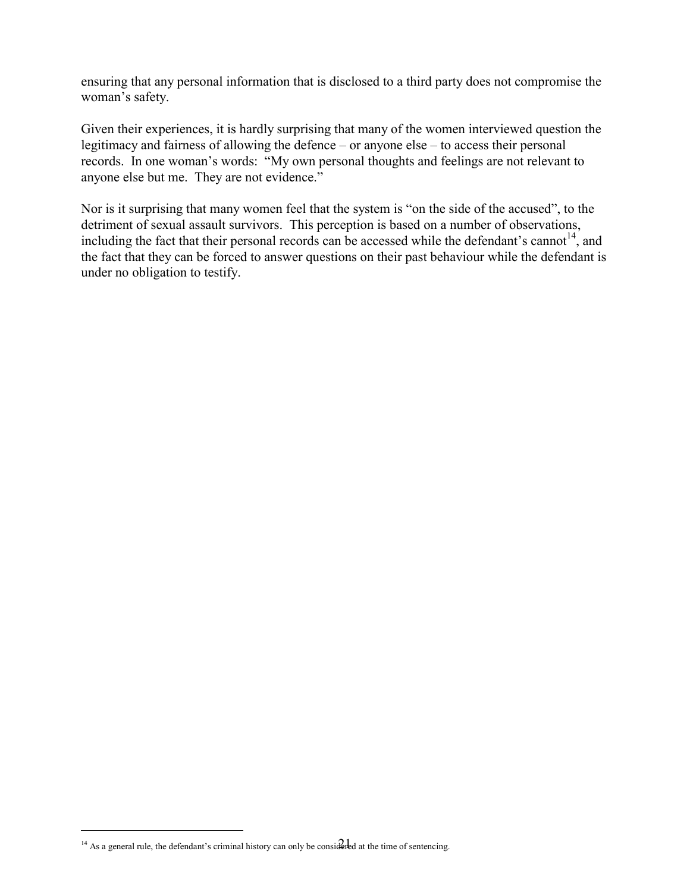ensuring that any personal information that is disclosed to a third party does not compromise the woman's safety.

Given their experiences, it is hardly surprising that many of the women interviewed question the legitimacy and fairness of allowing the defence – or anyone else – to access their personal records. In one woman's words: "My own personal thoughts and feelings are not relevant to anyone else but me. They are not evidence."

Nor is it surprising that many women feel that the system is "on the side of the accused", to the detriment of sexual assault survivors. This perception is based on a number of observations, including the fact that their personal records can be accessed while the defendant's cannot<sup>14</sup>, and the fact that they can be forced to answer questions on their past behaviour while the defendant is under no obligation to testify.

÷,

<sup>&</sup>lt;sup>14</sup> As a general rule, the defendant's criminal history can only be considered at the time of sentencing.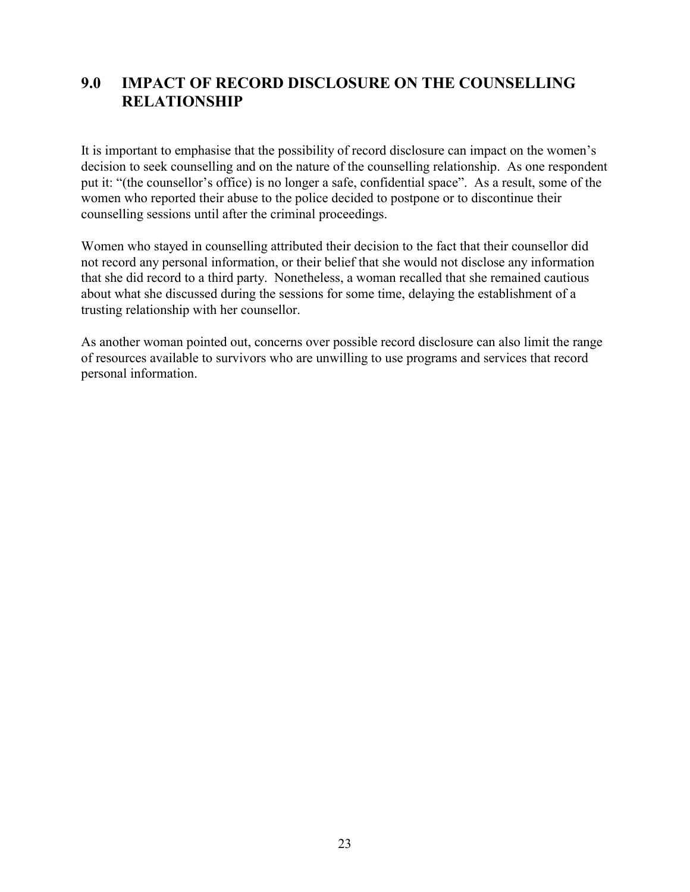## <span id="page-23-0"></span>**9.0 IMPACT OF RECORD DISCLOSURE ON THE COUNSELLING RELATIONSHIP**

It is important to emphasise that the possibility of record disclosure can impact on the women's decision to seek counselling and on the nature of the counselling relationship. As one respondent put it: "(the counsellor's office) is no longer a safe, confidential space". As a result, some of the women who reported their abuse to the police decided to postpone or to discontinue their counselling sessions until after the criminal proceedings.

Women who stayed in counselling attributed their decision to the fact that their counsellor did not record any personal information, or their belief that she would not disclose any information that she did record to a third party. Nonetheless, a woman recalled that she remained cautious about what she discussed during the sessions for some time, delaying the establishment of a trusting relationship with her counsellor.

As another woman pointed out, concerns over possible record disclosure can also limit the range of resources available to survivors who are unwilling to use programs and services that record personal information.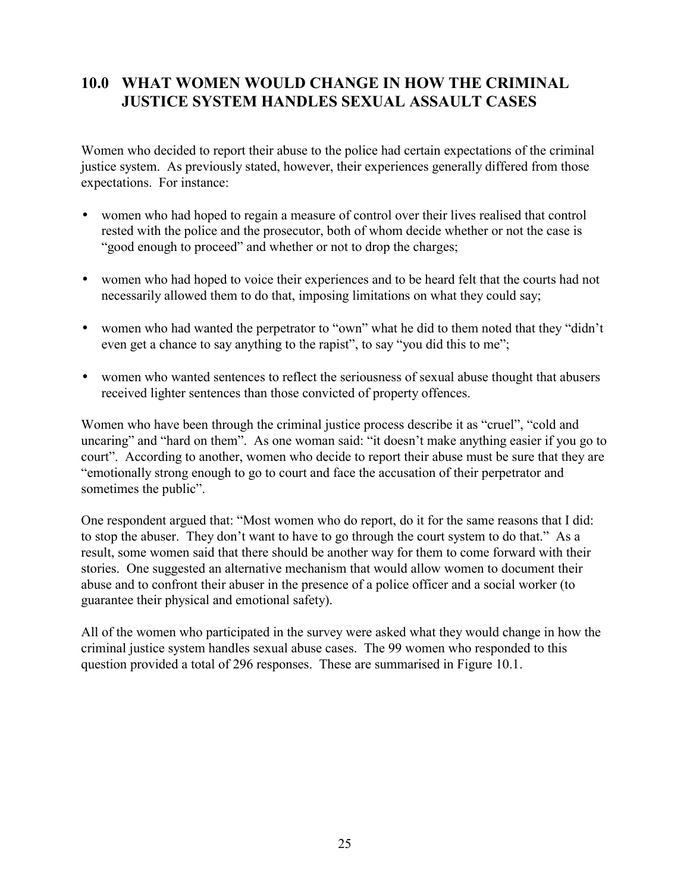## <span id="page-24-0"></span>**10.0 WHAT WOMEN WOULD CHANGE IN HOW THE CRIMINAL JUSTICE SYSTEM HANDLES SEXUAL ASSAULT CASES**

Women who decided to report their abuse to the police had certain expectations of the criminal justice system. As previously stated, however, their experiences generally differed from those expectations. For instance:

- women who had hoped to regain a measure of control over their lives realised that control rested with the police and the prosecutor, both of whom decide whether or not the case is "good enough to proceed" and whether or not to drop the charges;
- women who had hoped to voice their experiences and to be heard felt that the courts had not necessarily allowed them to do that, imposing limitations on what they could say;
- women who had wanted the perpetrator to "own" what he did to them noted that they "didn't even get a chance to say anything to the rapist", to say "you did this to me";
- women who wanted sentences to reflect the seriousness of sexual abuse thought that abusers received lighter sentences than those convicted of property offences.

Women who have been through the criminal justice process describe it as "cruel", "cold and uncaring" and "hard on them". As one woman said: "it doesn't make anything easier if you go to court". According to another, women who decide to report their abuse must be sure that they are "emotionally strong enough to go to court and face the accusation of their perpetrator and sometimes the public".

One respondent argued that: "Most women who do report, do it for the same reasons that I did: to stop the abuser. They don't want to have to go through the court system to do that." As a result, some women said that there should be another way for them to come forward with their stories. One suggested an alternative mechanism that would allow women to document their abuse and to confront their abuser in the presence of a police officer and a social worker (to guarantee their physical and emotional safety).

All of the women who participated in the survey were asked what they would change in how the criminal justice system handles sexual abuse cases. The 99 women who responded to this question provided a total of 296 responses. These are summarised in Figure 10.1.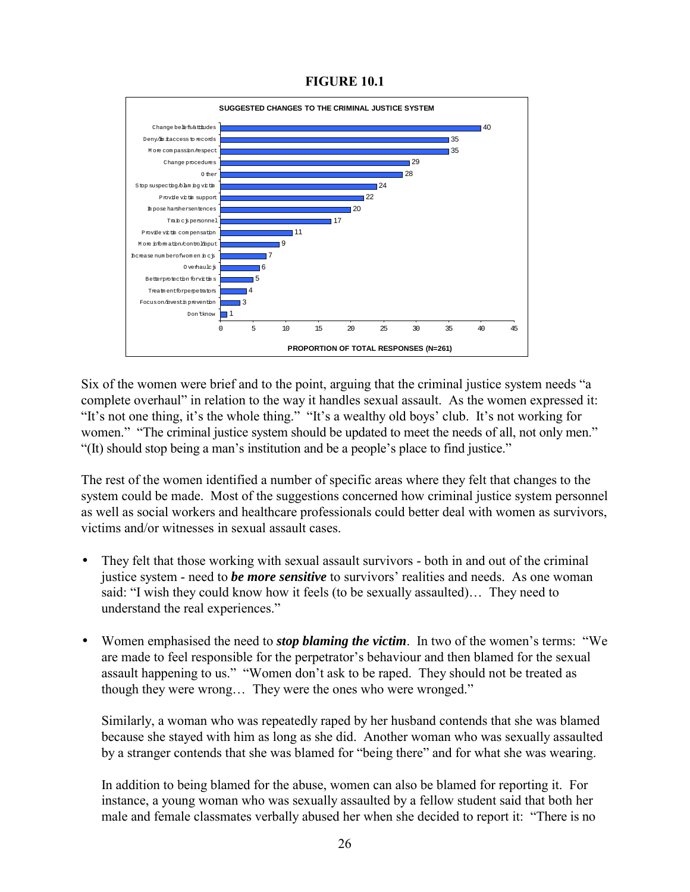**FIGURE 10.1**

<span id="page-25-0"></span>

Six of the women were brief and to the point, arguing that the criminal justice system needs "a complete overhaul" in relation to the way it handles sexual assault. As the women expressed it: "It's not one thing, it's the whole thing." "It's a wealthy old boys' club. It's not working for women." "The criminal justice system should be updated to meet the needs of all, not only men." "(It) should stop being a man's institution and be a people's place to find justice."

The rest of the women identified a number of specific areas where they felt that changes to the system could be made. Most of the suggestions concerned how criminal justice system personnel as well as social workers and healthcare professionals could better deal with women as survivors, victims and/or witnesses in sexual assault cases.

- They felt that those working with sexual assault survivors both in and out of the criminal justice system - need to *be more sensitive* to survivors' realities and needs. As one woman said: "I wish they could know how it feels (to be sexually assaulted)… They need to understand the real experiences."
- Women emphasised the need to *stop blaming the victim*. In two of the women's terms: "We are made to feel responsible for the perpetrator's behaviour and then blamed for the sexual assault happening to us." "Women don't ask to be raped. They should not be treated as though they were wrong… They were the ones who were wronged."

Similarly, a woman who was repeatedly raped by her husband contends that she was blamed because she stayed with him as long as she did. Another woman who was sexually assaulted by a stranger contends that she was blamed for "being there" and for what she was wearing.

In addition to being blamed for the abuse, women can also be blamed for reporting it. For instance, a young woman who was sexually assaulted by a fellow student said that both her male and female classmates verbally abused her when she decided to report it: "There is no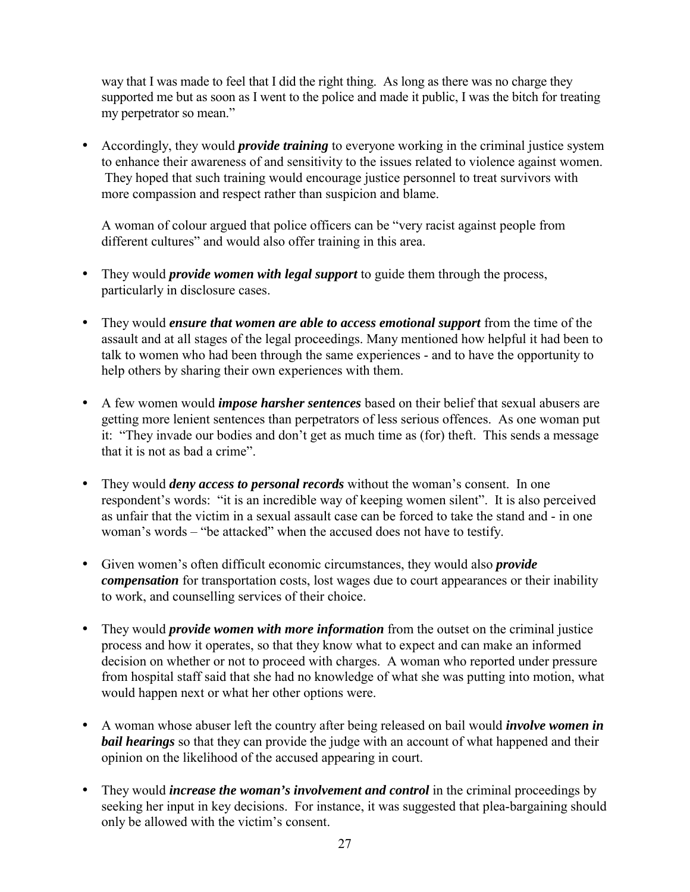way that I was made to feel that I did the right thing. As long as there was no charge they supported me but as soon as I went to the police and made it public, I was the bitch for treating my perpetrator so mean."

• Accordingly, they would *provide training* to everyone working in the criminal justice system to enhance their awareness of and sensitivity to the issues related to violence against women. They hoped that such training would encourage justice personnel to treat survivors with more compassion and respect rather than suspicion and blame.

A woman of colour argued that police officers can be "very racist against people from different cultures" and would also offer training in this area.

- They would *provide women with legal support* to guide them through the process, particularly in disclosure cases.
- They would *ensure that women are able to access emotional support* from the time of the assault and at all stages of the legal proceedings. Many mentioned how helpful it had been to talk to women who had been through the same experiences - and to have the opportunity to help others by sharing their own experiences with them.
- A few women would *impose harsher sentences* based on their belief that sexual abusers are getting more lenient sentences than perpetrators of less serious offences. As one woman put it: "They invade our bodies and don't get as much time as (for) theft. This sends a message that it is not as bad a crime".
- They would *deny access to personal records* without the woman's consent. In one respondent's words: "it is an incredible way of keeping women silent". It is also perceived as unfair that the victim in a sexual assault case can be forced to take the stand and - in one woman's words – "be attacked" when the accused does not have to testify.
- Given women's often difficult economic circumstances, they would also *provide compensation* for transportation costs, lost wages due to court appearances or their inability to work, and counselling services of their choice.
- They would *provide women with more information* from the outset on the criminal justice process and how it operates, so that they know what to expect and can make an informed decision on whether or not to proceed with charges. A woman who reported under pressure from hospital staff said that she had no knowledge of what she was putting into motion, what would happen next or what her other options were.
- A woman whose abuser left the country after being released on bail would *involve women in bail hearings* so that they can provide the judge with an account of what happened and their opinion on the likelihood of the accused appearing in court.
- They would *increase the woman's involvement and control* in the criminal proceedings by seeking her input in key decisions. For instance, it was suggested that plea-bargaining should only be allowed with the victim's consent.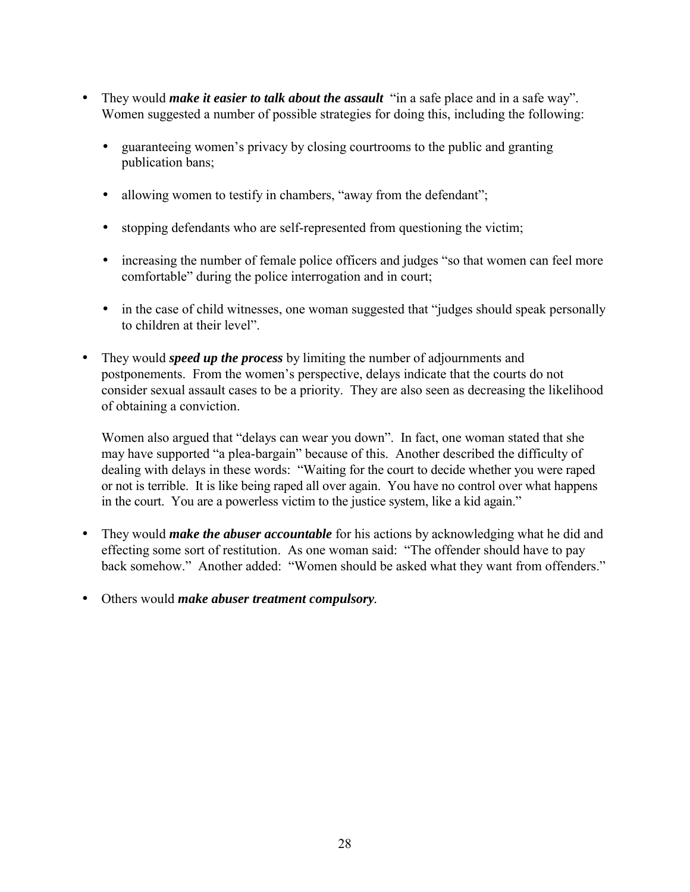- They would *make it easier to talk about the assault* "in a safe place and in a safe way". Women suggested a number of possible strategies for doing this, including the following:
	- guaranteeing women's privacy by closing courtrooms to the public and granting publication bans;
	- allowing women to testify in chambers, "away from the defendant";
	- stopping defendants who are self-represented from questioning the victim;
	- increasing the number of female police officers and judges "so that women can feel more comfortable" during the police interrogation and in court;
	- in the case of child witnesses, one woman suggested that "judges should speak personally to children at their level".
- They would *speed up the process* by limiting the number of adjournments and postponements. From the women's perspective, delays indicate that the courts do not consider sexual assault cases to be a priority. They are also seen as decreasing the likelihood of obtaining a conviction.

Women also argued that "delays can wear you down". In fact, one woman stated that she may have supported "a plea-bargain" because of this. Another described the difficulty of dealing with delays in these words: "Waiting for the court to decide whether you were raped or not is terrible. It is like being raped all over again. You have no control over what happens in the court. You are a powerless victim to the justice system, like a kid again."

- They would *make the abuser accountable* for his actions by acknowledging what he did and effecting some sort of restitution. As one woman said: "The offender should have to pay back somehow." Another added: "Women should be asked what they want from offenders."
- Others would *make abuser treatment compulsory.*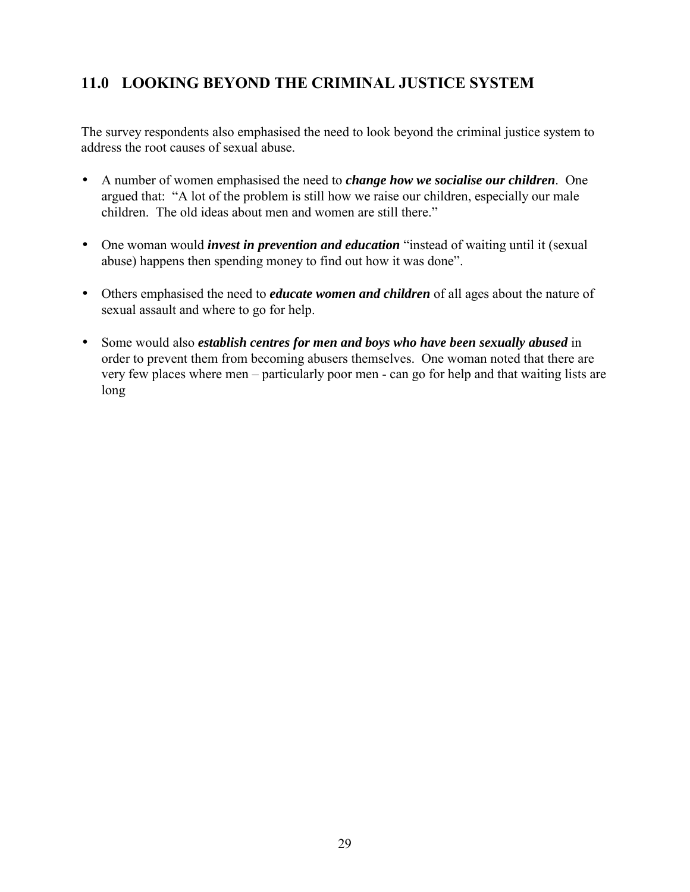# <span id="page-28-0"></span>**11.0 LOOKING BEYOND THE CRIMINAL JUSTICE SYSTEM**

The survey respondents also emphasised the need to look beyond the criminal justice system to address the root causes of sexual abuse.

- A number of women emphasised the need to *change how we socialise our children*. One argued that: "A lot of the problem is still how we raise our children, especially our male children. The old ideas about men and women are still there."
- One woman would *invest in prevention and education* "instead of waiting until it (sexual abuse) happens then spending money to find out how it was done".
- Others emphasised the need to *educate women and children* of all ages about the nature of sexual assault and where to go for help.
- Some would also *establish centres for men and boys who have been sexually abused* in order to prevent them from becoming abusers themselves. One woman noted that there are very few places where men – particularly poor men - can go for help and that waiting lists are long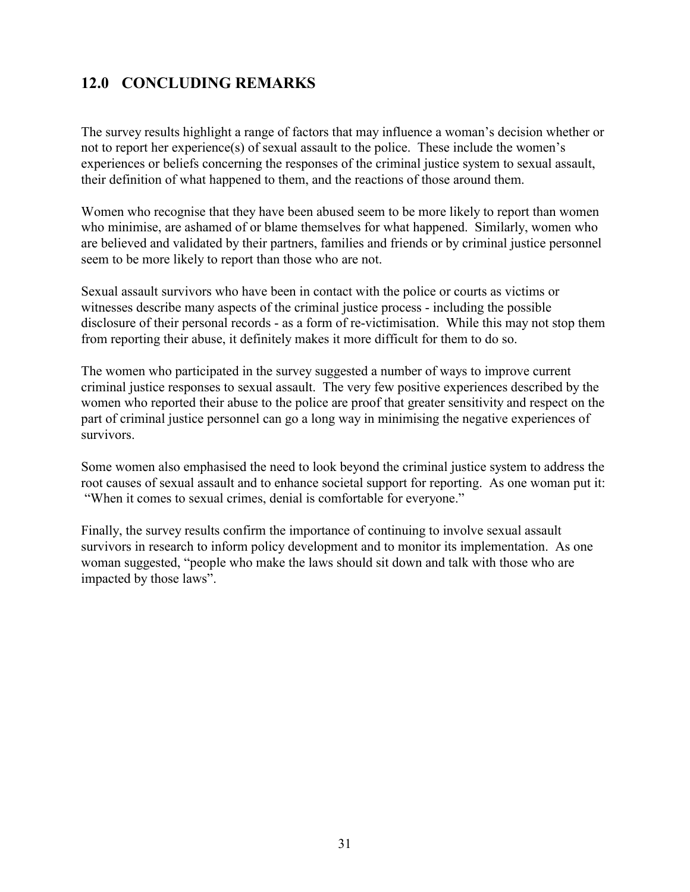# <span id="page-29-0"></span>**12.0 CONCLUDING REMARKS**

The survey results highlight a range of factors that may influence a woman's decision whether or not to report her experience(s) of sexual assault to the police. These include the women's experiences or beliefs concerning the responses of the criminal justice system to sexual assault, their definition of what happened to them, and the reactions of those around them.

Women who recognise that they have been abused seem to be more likely to report than women who minimise, are ashamed of or blame themselves for what happened. Similarly, women who are believed and validated by their partners, families and friends or by criminal justice personnel seem to be more likely to report than those who are not.

Sexual assault survivors who have been in contact with the police or courts as victims or witnesses describe many aspects of the criminal justice process - including the possible disclosure of their personal records - as a form of re-victimisation. While this may not stop them from reporting their abuse, it definitely makes it more difficult for them to do so.

The women who participated in the survey suggested a number of ways to improve current criminal justice responses to sexual assault. The very few positive experiences described by the women who reported their abuse to the police are proof that greater sensitivity and respect on the part of criminal justice personnel can go a long way in minimising the negative experiences of survivors.

Some women also emphasised the need to look beyond the criminal justice system to address the root causes of sexual assault and to enhance societal support for reporting. As one woman put it: "When it comes to sexual crimes, denial is comfortable for everyone."

Finally, the survey results confirm the importance of continuing to involve sexual assault survivors in research to inform policy development and to monitor its implementation. As one woman suggested, "people who make the laws should sit down and talk with those who are impacted by those laws".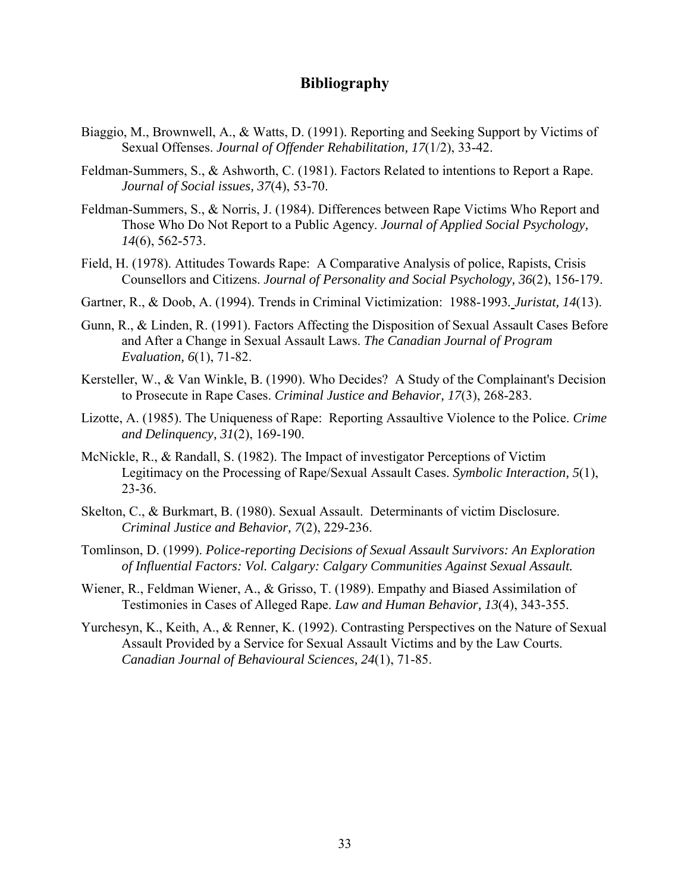## **Bibliography**

- Biaggio, M., Brownwell, A., & Watts, D. (1991). Reporting and Seeking Support by Victims of Sexual Offenses. *Journal of Offender Rehabilitation, 17*(1/2), 33-42.
- Feldman-Summers, S., & Ashworth, C. (1981). Factors Related to intentions to Report a Rape. *Journal of Social issues, 37*(4), 53-70.
- Feldman-Summers, S., & Norris, J. (1984). Differences between Rape Victims Who Report and Those Who Do Not Report to a Public Agency. *Journal of Applied Social Psychology, 14*(6), 562-573.
- Field, H. (1978). Attitudes Towards Rape: A Comparative Analysis of police, Rapists, Crisis Counsellors and Citizens. *Journal of Personality and Social Psychology, 36*(2), 156-179.
- Gartner, R., & Doob, A. (1994). Trends in Criminal Victimization: 1988-1993*. Juristat, 14*(13).
- Gunn, R., & Linden, R. (1991). Factors Affecting the Disposition of Sexual Assault Cases Before and After a Change in Sexual Assault Laws. *The Canadian Journal of Program Evaluation, 6*(1), 71-82.
- Kersteller, W., & Van Winkle, B. (1990). Who Decides? A Study of the Complainant's Decision to Prosecute in Rape Cases. *Criminal Justice and Behavior, 17*(3), 268-283.
- Lizotte, A. (1985). The Uniqueness of Rape: Reporting Assaultive Violence to the Police. *Crime and Delinquency, 31*(2), 169-190.
- McNickle, R., & Randall, S. (1982). The Impact of investigator Perceptions of Victim Legitimacy on the Processing of Rape/Sexual Assault Cases. *Symbolic Interaction, 5*(1), 23-36.
- Skelton, C., & Burkmart, B. (1980). Sexual Assault. Determinants of victim Disclosure. *Criminal Justice and Behavior, 7*(2), 229-236.
- Tomlinson, D. (1999). *Police-reporting Decisions of Sexual Assault Survivors: An Exploration of Influential Factors: Vol. Calgary: Calgary Communities Against Sexual Assault.*
- Wiener, R., Feldman Wiener, A., & Grisso, T. (1989). Empathy and Biased Assimilation of Testimonies in Cases of Alleged Rape. *Law and Human Behavior, 13*(4), 343-355.
- Yurchesyn, K., Keith, A., & Renner, K. (1992). Contrasting Perspectives on the Nature of Sexual Assault Provided by a Service for Sexual Assault Victims and by the Law Courts. *Canadian Journal of Behavioural Sciences, 24*(1), 71-85.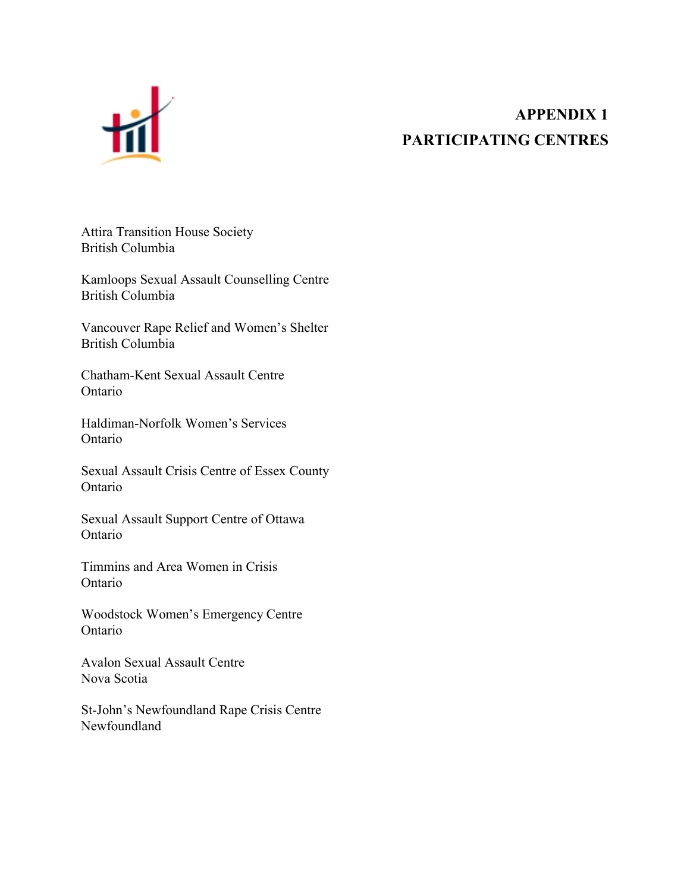<span id="page-31-0"></span>

# **APPENDIX 1 PARTICIPATING CENTRES**

Attira Transition House Society British Columbia

Kamloops Sexual Assault Counselling Centre British Columbia

Vancouver Rape Relief and Women's Shelter British Columbia

Chatham-Kent Sexual Assault Centre Ontario

Haldiman-Norfolk Women's Services Ontario

Sexual Assault Crisis Centre of Essex County Ontario

Sexual Assault Support Centre of Ottawa Ontario

Timmins and Area Women in Crisis Ontario

Woodstock Women's Emergency Centre Ontario

Avalon Sexual Assault Centre Nova Scotia

St-John's Newfoundland Rape Crisis Centre Newfoundland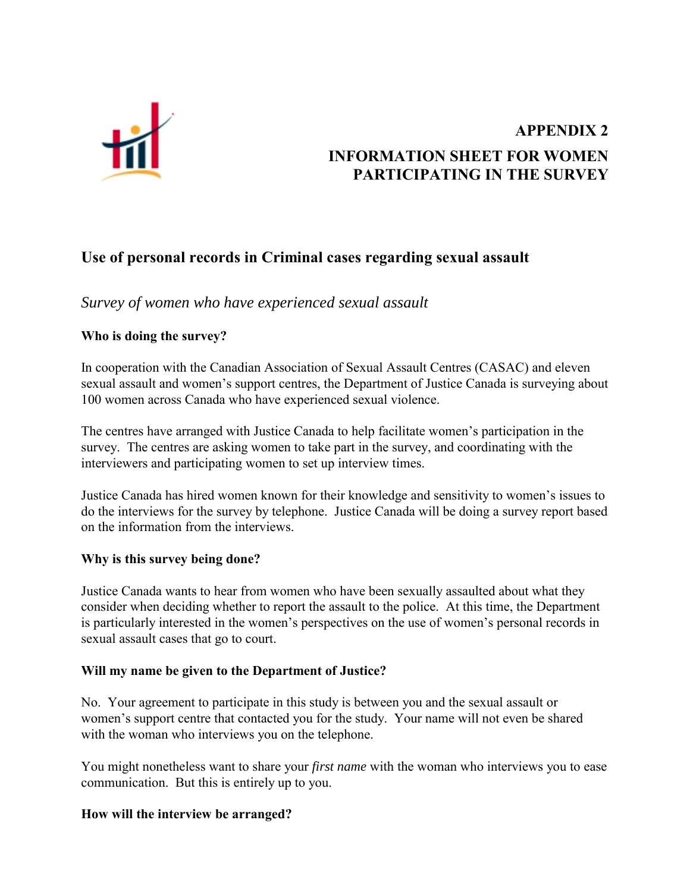<span id="page-32-0"></span>

# **APPENDIX 2 INFORMATION SHEET FOR WOMEN PARTICIPATING IN THE SURVEY**

## **Use of personal records in Criminal cases regarding sexual assault**

*Survey of women who have experienced sexual assault*

### **Who is doing the survey?**

In cooperation with the Canadian Association of Sexual Assault Centres (CASAC) and eleven sexual assault and women's support centres, the Department of Justice Canada is surveying about 100 women across Canada who have experienced sexual violence.

The centres have arranged with Justice Canada to help facilitate women's participation in the survey. The centres are asking women to take part in the survey, and coordinating with the interviewers and participating women to set up interview times.

Justice Canada has hired women known for their knowledge and sensitivity to women's issues to do the interviews for the survey by telephone. Justice Canada will be doing a survey report based on the information from the interviews.

### **Why is this survey being done?**

Justice Canada wants to hear from women who have been sexually assaulted about what they consider when deciding whether to report the assault to the police. At this time, the Department is particularly interested in the women's perspectives on the use of women's personal records in sexual assault cases that go to court.

### **Will my name be given to the Department of Justice?**

No. Your agreement to participate in this study is between you and the sexual assault or women's support centre that contacted you for the study. Your name will not even be shared with the woman who interviews you on the telephone.

You might nonetheless want to share your *first name* with the woman who interviews you to ease communication. But this is entirely up to you.

### **How will the interview be arranged?**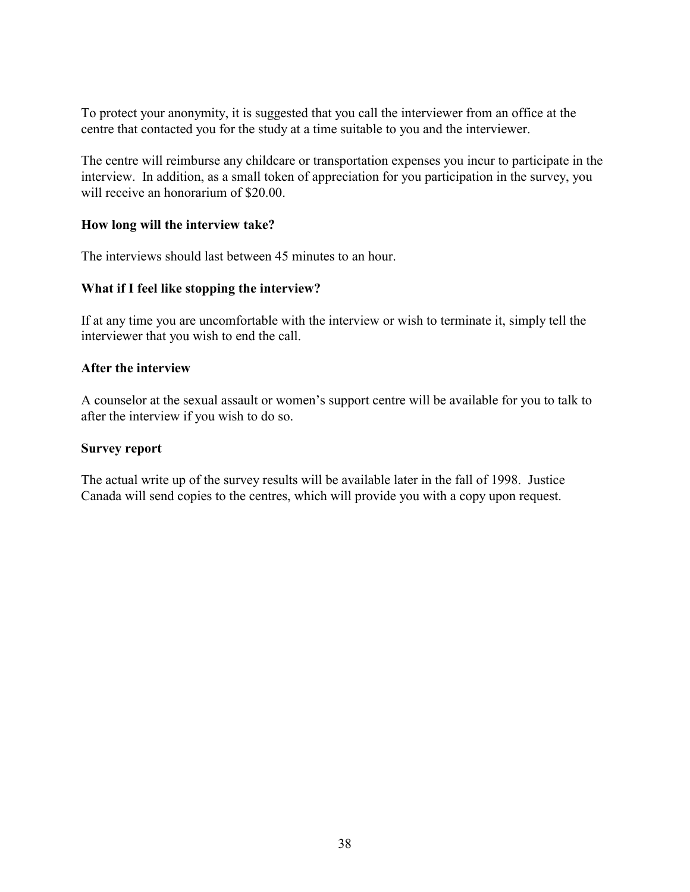To protect your anonymity, it is suggested that you call the interviewer from an office at the centre that contacted you for the study at a time suitable to you and the interviewer.

The centre will reimburse any childcare or transportation expenses you incur to participate in the interview. In addition, as a small token of appreciation for you participation in the survey, you will receive an honorarium of \$20.00.

### **How long will the interview take?**

The interviews should last between 45 minutes to an hour.

### **What if I feel like stopping the interview?**

If at any time you are uncomfortable with the interview or wish to terminate it, simply tell the interviewer that you wish to end the call.

### **After the interview**

A counselor at the sexual assault or women's support centre will be available for you to talk to after the interview if you wish to do so.

### **Survey report**

The actual write up of the survey results will be available later in the fall of 1998. Justice Canada will send copies to the centres, which will provide you with a copy upon request.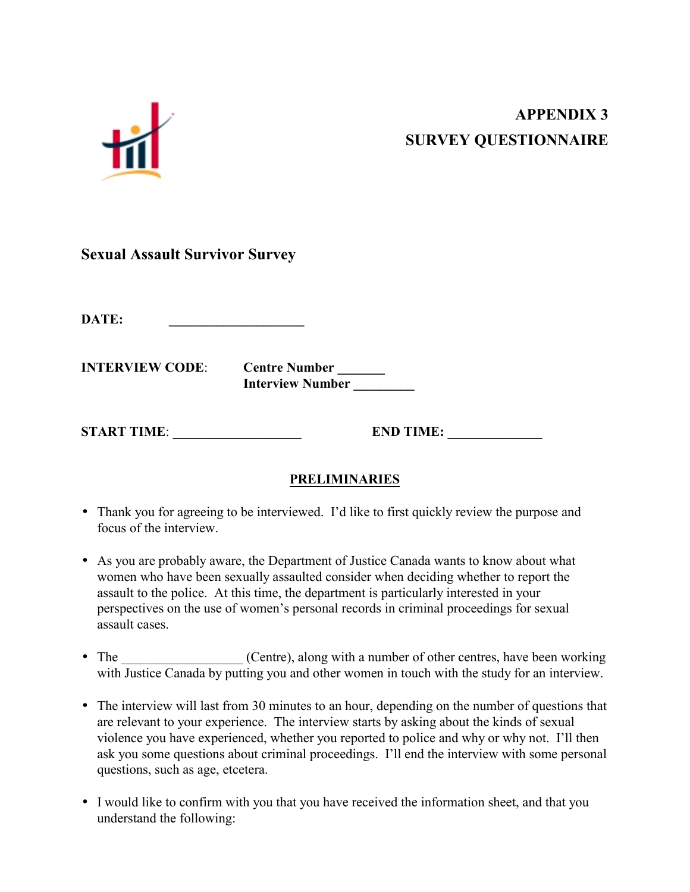# **APPENDIX 3 SURVEY QUESTIONNAIRE**

<span id="page-34-0"></span>

## **Sexual Assault Survivor Survey**

**DATE: \_\_\_\_\_\_\_\_\_\_\_\_\_\_\_\_\_\_\_\_**

**INTERVIEW CODE:** Centre Number \_\_\_\_\_\_\_\_  **Interview Number \_\_\_\_\_\_\_\_\_**

**START TIME:** END TIME:

## **PRELIMINARIES**

- Thank you for agreeing to be interviewed. I'd like to first quickly review the purpose and focus of the interview.
- As you are probably aware, the Department of Justice Canada wants to know about what women who have been sexually assaulted consider when deciding whether to report the assault to the police. At this time, the department is particularly interested in your perspectives on the use of women's personal records in criminal proceedings for sexual assault cases.
- The Centre), along with a number of other centres, have been working with Justice Canada by putting you and other women in touch with the study for an interview.
- The interview will last from 30 minutes to an hour, depending on the number of questions that are relevant to your experience. The interview starts by asking about the kinds of sexual violence you have experienced, whether you reported to police and why or why not. I'll then ask you some questions about criminal proceedings. I'll end the interview with some personal questions, such as age, etcetera.
- I would like to confirm with you that you have received the information sheet, and that you understand the following: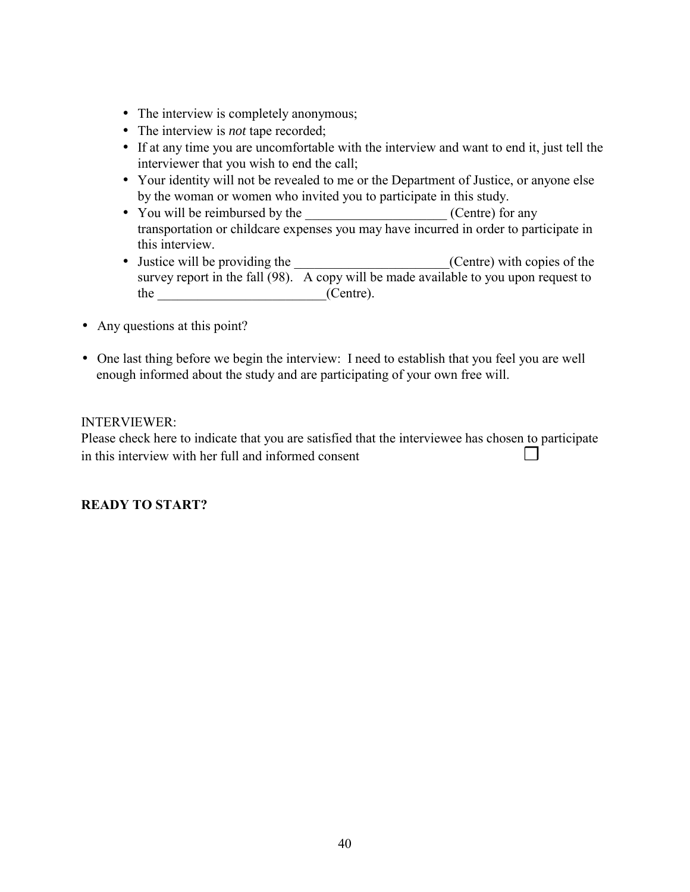- The interview is completely anonymous;
- The interview is *not* tape recorded;
- If at any time you are uncomfortable with the interview and want to end it, just tell the interviewer that you wish to end the call;
- Your identity will not be revealed to me or the Department of Justice, or anyone else by the woman or women who invited you to participate in this study.
- You will be reimbursed by the  $(Centre)$  for any transportation or childcare expenses you may have incurred in order to participate in this interview.
- Justice will be providing the  $(Centre)$  with copies of the survey report in the fall  $(98)$ . A copy will be made available to you upon request to the  $(Centre)$ .
- Any questions at this point?
- One last thing before we begin the interview: I need to establish that you feel you are well enough informed about the study and are participating of your own free will.

### INTERVIEWER:

Please check here to indicate that you are satisfied that the interviewee has chosen to participate in this interview with her full and informed consent  $\Box$ 

### **READY TO START?**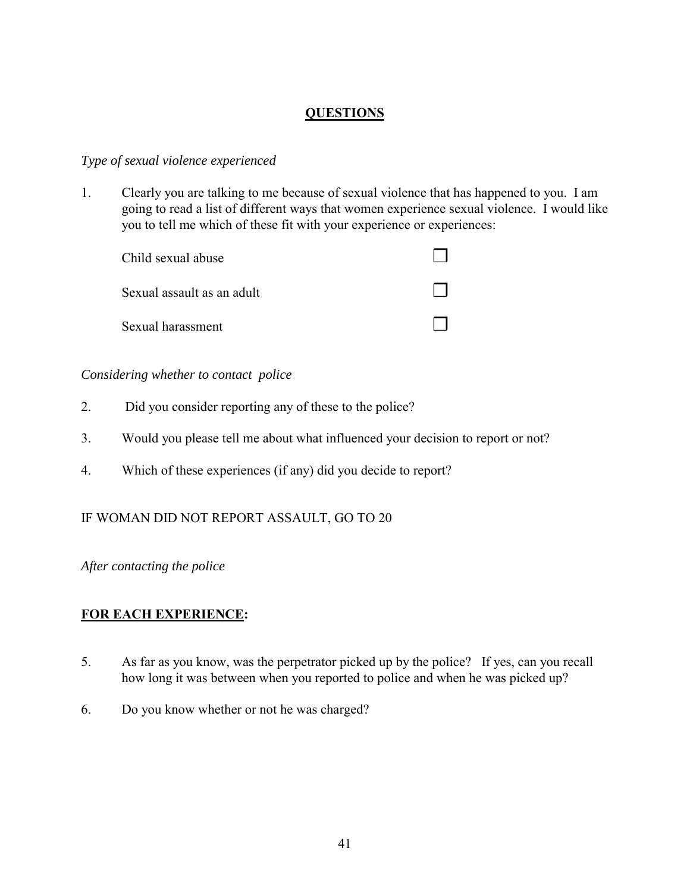### **QUESTIONS**

### *Type of sexual violence experienced*

1. Clearly you are talking to me because of sexual violence that has happened to you. I am going to read a list of different ways that women experience sexual violence. I would like you to tell me which of these fit with your experience or experiences:

| Child sexual abuse         |  |
|----------------------------|--|
| Sexual assault as an adult |  |
| Sexual harassment          |  |

### *Considering whether to contact police*

- 2. Did you consider reporting any of these to the police?
- 3. Would you please tell me about what influenced your decision to report or not?
- 4. Which of these experiences (if any) did you decide to report?

### IF WOMAN DID NOT REPORT ASSAULT, GO TO 20

### *After contacting the police*

### **FOR EACH EXPERIENCE:**

- 5. As far as you know, was the perpetrator picked up by the police? If yes, can you recall how long it was between when you reported to police and when he was picked up?
- 6. Do you know whether or not he was charged?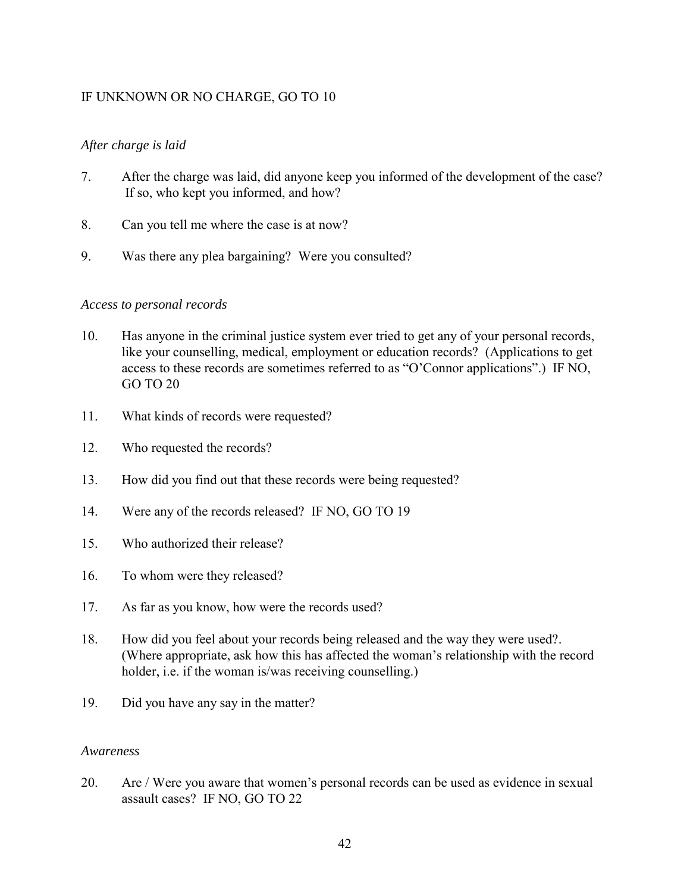### IF UNKNOWN OR NO CHARGE, GO TO 10

### *After charge is laid*

- 7. After the charge was laid, did anyone keep you informed of the development of the case? If so, who kept you informed, and how?
- 8. Can you tell me where the case is at now?
- 9. Was there any plea bargaining? Were you consulted?

### *Access to personal records*

- 10. Has anyone in the criminal justice system ever tried to get any of your personal records, like your counselling, medical, employment or education records? (Applications to get access to these records are sometimes referred to as "O'Connor applications".) IF NO, GO TO 20
- 11. What kinds of records were requested?
- 12. Who requested the records?
- 13. How did you find out that these records were being requested?
- 14. Were any of the records released? IF NO, GO TO 19
- 15. Who authorized their release?
- 16. To whom were they released?
- 17. As far as you know, how were the records used?
- 18. How did you feel about your records being released and the way they were used?. (Where appropriate, ask how this has affected the woman's relationship with the record holder, i.e. if the woman is/was receiving counselling.)
- 19. Did you have any say in the matter?

### *Awareness*

20. Are / Were you aware that women's personal records can be used as evidence in sexual assault cases? IF NO, GO TO 22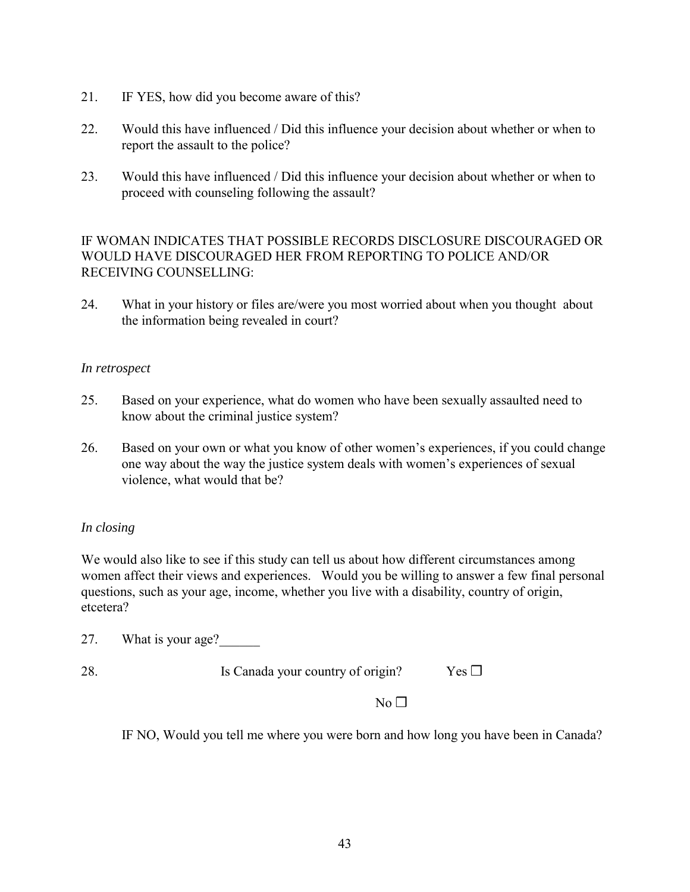- 21. IF YES, how did you become aware of this?
- 22. Would this have influenced / Did this influence your decision about whether or when to report the assault to the police?
- 23. Would this have influenced / Did this influence your decision about whether or when to proceed with counseling following the assault?

IF WOMAN INDICATES THAT POSSIBLE RECORDS DISCLOSURE DISCOURAGED OR WOULD HAVE DISCOURAGED HER FROM REPORTING TO POLICE AND/OR RECEIVING COUNSELLING:

24. What in your history or files are/were you most worried about when you thought about the information being revealed in court?

### *In retrospect*

- 25. Based on your experience, what do women who have been sexually assaulted need to know about the criminal justice system?
- 26. Based on your own or what you know of other women's experiences, if you could change one way about the way the justice system deals with women's experiences of sexual violence, what would that be?

### *In closing*

We would also like to see if this study can tell us about how different circumstances among women affect their views and experiences. Would you be willing to answer a few final personal questions, such as your age, income, whether you live with a disability, country of origin, etcetera?

27. What is your age?

28. Is Canada your country of origin? Yes **□** 

 $No \Box$ 

IF NO, Would you tell me where you were born and how long you have been in Canada?